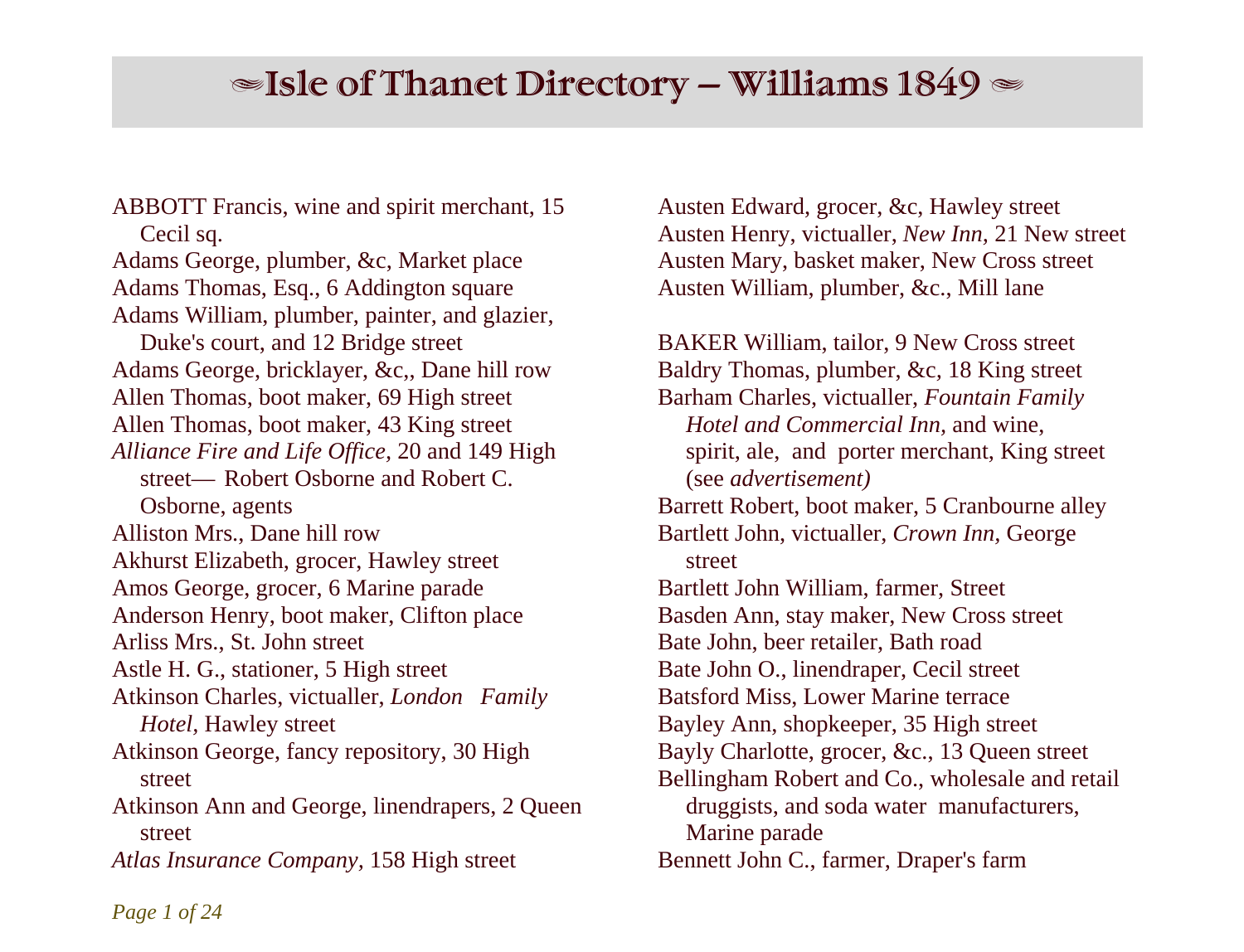# $\triangleq$ Isle of Thanet Directory – Williams 1849  $\triangleq$

ABBOTT Francis, wine and spirit merchant, 15 Cecil sq. Adams George, plumber, &c, Market place Adams Thomas, Esq., 6 Addington square Adams William, plumber, painter, and glazier, Duke's court, and 12 Bridge street Adams George, bricklayer, &c,, Dane hill row Allen Thomas, boot maker, 69 High street Allen Thomas, boot maker, 43 King street *Alliance Fire and Life Office,* 20 and 149 High street— Robert Osborne and Robert C. Osborne, agents Alliston Mrs., Dane hill row Akhurst Elizabeth, grocer, Hawley street Amos George, grocer, 6 Marine parade Anderson Henry, boot maker, Clifton place Arliss Mrs., St. John street Astle H. G., stationer, 5 High street Atkinson Charles, victualler, *London Family Hotel,* Hawley street Atkinson George, fancy repository, 30 High street Atkinson Ann and George, linendrapers, 2 Queen street *Atlas Insurance Company,* 158 High street

Austen Edward, grocer, &c, Hawley street Austen Henry, victualler, *New Inn,* 21 New street Austen Mary, basket maker, New Cross street Austen William, plumber, &c., Mill lane

BAKER William, tailor, 9 New Cross street Baldry Thomas, plumber, &c*,* 18 King street Barham Charles, victualler, *Fountain Family Hotel and Commercial Inn,* and wine, spirit, ale, and porter merchant, King street (see *advertisement)* Barrett Robert, boot maker, 5 Cranbourne alley Bartlett John, victualler, *Crown Inn,* George street Bartlett John William, farmer, Street Basden Ann, stay maker, New Cross street Bate John, beer retailer, Bath road Bate John O., linendraper, Cecil street Batsford Miss, Lower Marine terrace Bayley Ann, shopkeeper, 35 High street Bayly Charlotte, grocer, &c., 13 Queen street Bellingham Robert and Co., wholesale and retail druggists, and soda water manufacturers, Marine parade Bennett John C., farmer, Draper's farm

*Page 1 of 24*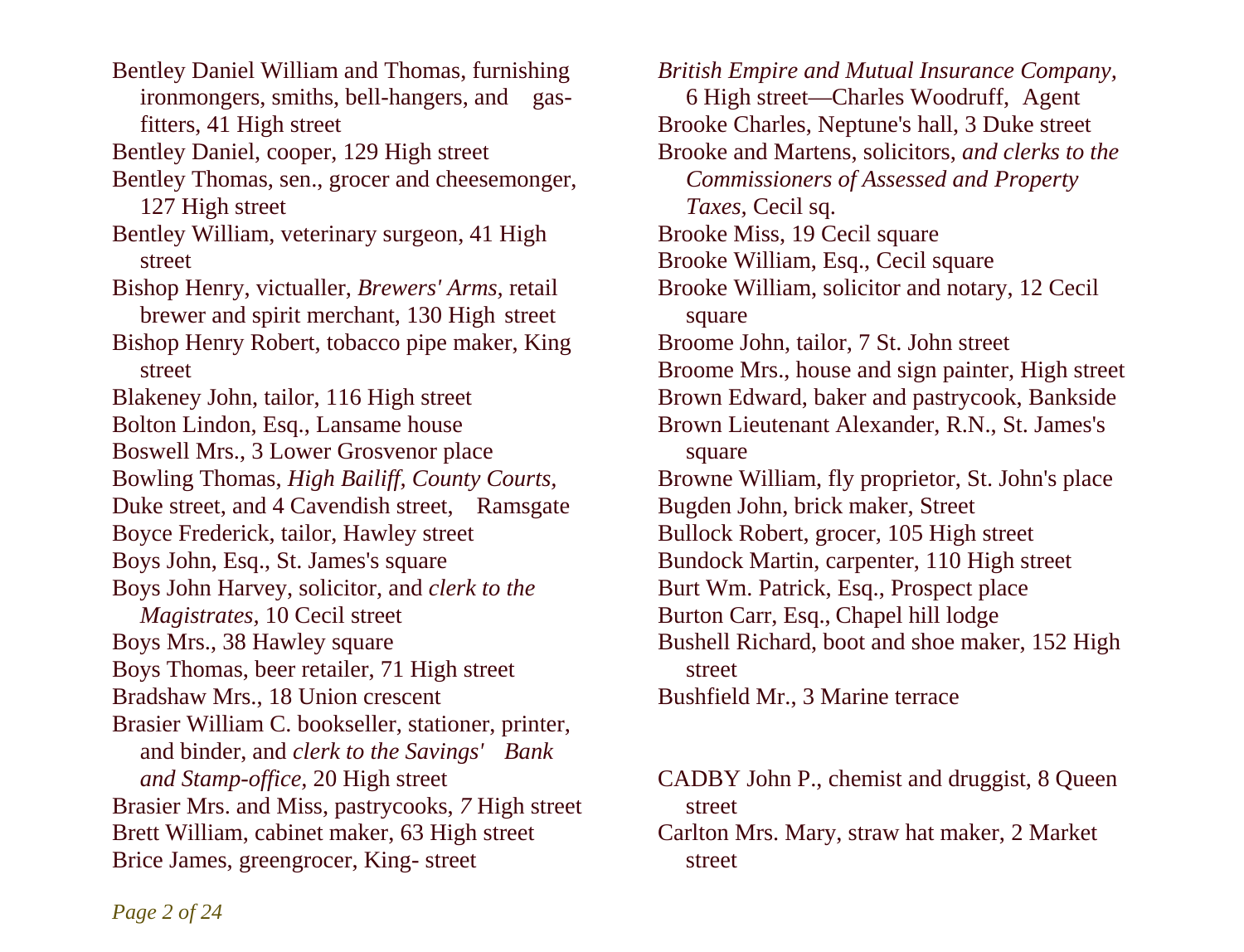Bentley Daniel William and Thomas, furnishing ironmongers, smiths, bell-hangers, and gas fitters, 41 High street Bentley Daniel, cooper, 129 High street Bentley Thomas, sen., grocer and cheesemonger, 127 High street Bentley William, veterinary surgeon, 41 High street Bishop Henry, victualler, *Brewers' Arms,* retail brewer and spirit merchant, 130 High street Bishop Henry Robert, tobacco pipe maker, King street Blakeney John, tailor, 116 High street Bolton Lindon, Esq., Lansame house Boswell Mrs., 3 Lower Grosvenor place Bowling Thomas, *High Bailiff, County Courts,*  Duke street, and 4 Cavendish street, Ramsgate Boyce Frederick, tailor, Hawley street Boys John, Esq., St. James's square Boys John Harvey, solicitor, and *clerk to the Magistrates,* 10 Cecil street Boys Mrs., 38 Hawley square Boys Thomas, beer retailer, 71 High street Bradshaw Mrs., 18 Union crescent Brasier William C. bookseller, stationer, printer, and binder, and *clerk to the Savings' Bank and Stamp-office,* 20 High street Brasier Mrs. and Miss, pastrycooks, *7* High street Brett William, cabinet maker, 63 High street Brice James, greengrocer, King- street

*British Empire and Mutual Insurance Company,*  6 High street—Charles Woodruff, Agent Brooke Charles, Neptune's hall, 3 Duke street Brooke and Martens, solicitors, *and clerks to the Commissioners of Assessed and Property Taxes,* Cecil sq. Brooke Miss, 19 Cecil square Brooke William, Esq., Cecil square Brooke William, solicitor and notary, 12 Cecil square Broome John, tailor, 7 St. John street Broome Mrs., house and sign painter, High street Brown Edward, baker and pastrycook, Bankside Brown Lieutenant Alexander, R.N., St. James's square Browne William, fly proprietor, St. John's place Bugden John, brick maker, Street Bullock Robert, grocer, 105 High street Bundock Martin, carpenter, 110 High street Burt Wm. Patrick, Esq., Prospect place Burton Carr, Esq., Chapel hill lodge Bushell Richard, boot and shoe maker, 152 High street Bushfield Mr., 3 Marine terrace

CADBY John P., chemist and druggist, 8 Queen street

Carlton Mrs. Mary, straw hat maker, 2 Market street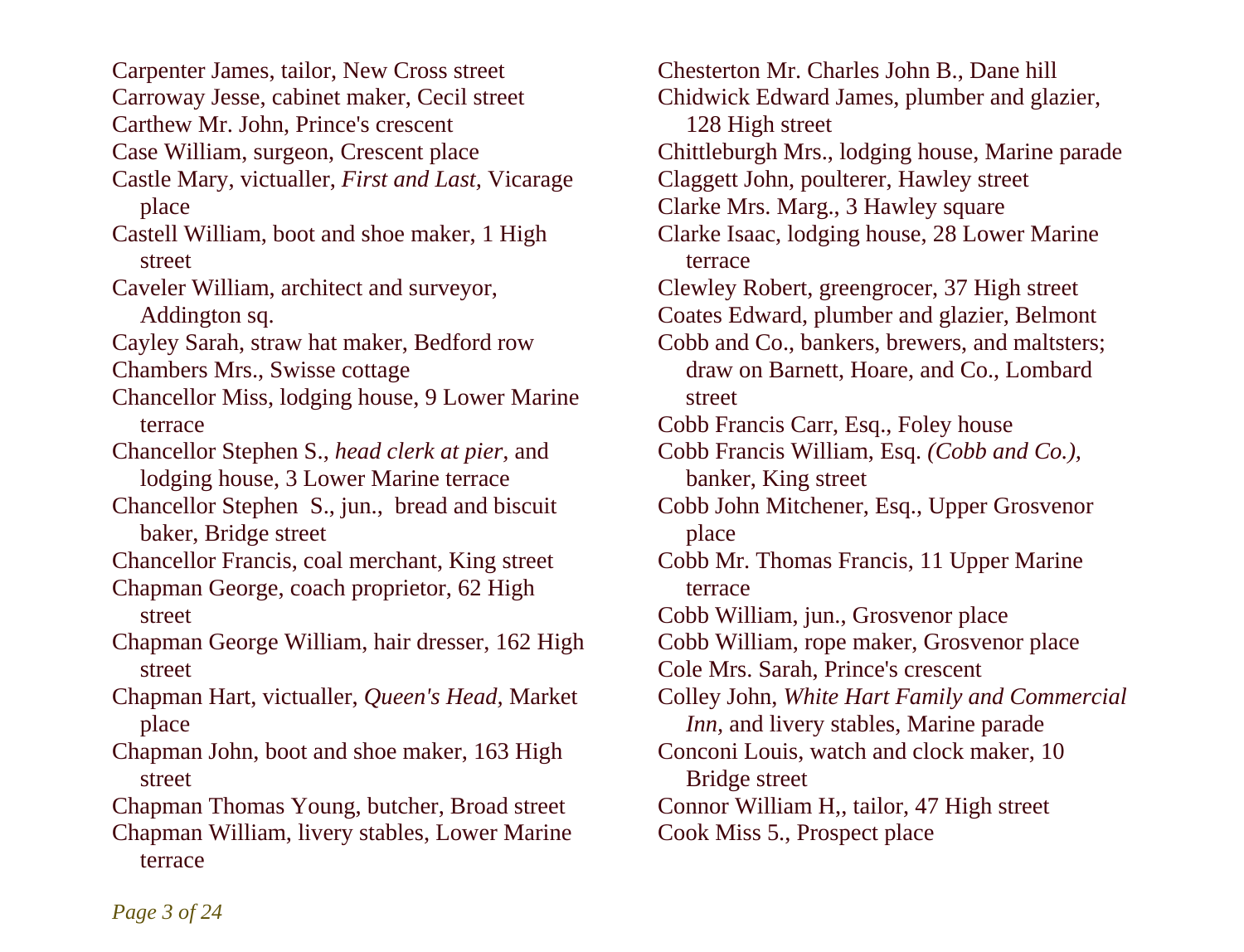Carpenter James, tailor, New Cross street Carroway Jesse, cabinet maker, Cecil street Carthew Mr. John, Prince's crescent Case William, surgeon, Crescent place Castle Mary, victualler, *First and Last,* Vicarage place Castell William, boot and shoe maker, 1 High street Caveler William, architect and surveyor, Addington sq. Cayley Sarah, straw hat maker, Bedford row Chambers Mrs., Swisse cottage Chancellor Miss, lodging house, 9 Lower Marine terrace Chancellor Stephen S., *head clerk at pier,* and lodging house, 3 Lower Marine terrace Chancellor Stephen S., jun., bread and biscuit baker, Bridge street Chancellor Francis, coal merchant, King street Chapman George, coach proprietor, 62 High street Chapman George William, hair dresser, 162 High street Chapman Hart, victualler, *Queen's Head,* Market place Chapman John, boot and shoe maker, 163 High street Chapman Thomas Young, butcher, Broad street Chapman William, livery stables, Lower Marine terrace

Chesterton Mr. Charles John B., Dane hill Chidwick Edward James, plumber and glazier, 128 High street Chittleburgh Mrs., lodging house, Marine parade Claggett John, poulterer, Hawley street Clarke Mrs. Marg., 3 Hawley square Clarke Isaac, lodging house, 28 Lower Marine terrace Clewley Robert, greengrocer, 37 High street Coates Edward, plumber and glazier, Belmont Cobb and Co., bankers, brewers, and maltsters; draw on Barnett, Hoare, and Co., Lombard street Cobb Francis Carr, Esq., Foley house Cobb Francis William, Esq. *(Cobb and Co.),*  banker, King street Cobb John Mitchener, Esq., Upper Grosvenor place Cobb Mr. Thomas Francis, 11 Upper Marine terrace Cobb William, jun., Grosvenor place Cobb William, rope maker, Grosvenor place Cole Mrs. Sarah, Prince's crescent Colley John, *White Hart Family and Commercial Inn*, and livery stables, Marine parade Conconi Louis, watch and clock maker, 10 Bridge street Connor William H,, tailor, 47 High street Cook Miss 5., Prospect place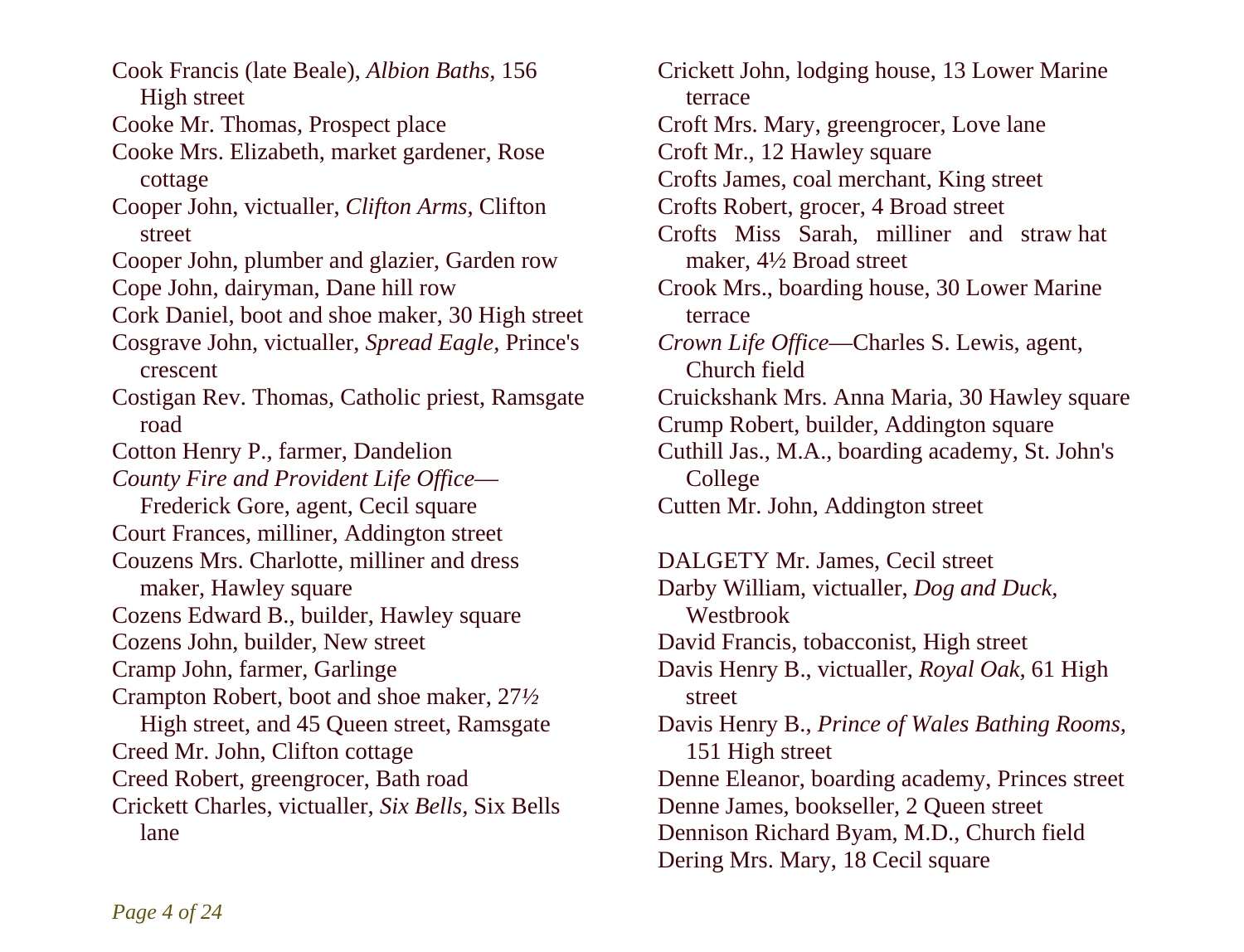Cook Francis (late Beale), *Albion Baths,* 156 High street Cooke Mr. Thomas, Prospect place Cooke Mrs. Elizabeth, market gardener, Rose cottage Cooper John, victualler, *Clifton Arms,* Clifton street Cooper John, plumber and glazier, Garden row Cope John, dairyman, Dane hill row Cork Daniel, boot and shoe maker, 30 High street Cosgrave John, victualler, *Spread Eagle,* Prince's crescent Costigan Rev. Thomas, Catholic priest, Ramsgate road Cotton Henry P., farmer, Dandelion *County Fire and Provident Life Office*— Frederick Gore, agent, Cecil square Court Frances, milliner, Addington street Couzens Mrs. Charlotte, milliner and dress maker, Hawley square Cozens Edward B., builder, Hawley square Cozens John, builder, New street Cramp John, farmer, Garlinge Crampton Robert, boot and shoe maker, 27*½*  High street, and 45 Queen street, Ramsgate Creed Mr. John, Clifton cottage Creed Robert, greengrocer, Bath road Crickett Charles, victualler, *Six Bells,* Six Bells lane

Crickett John, lodging house, 13 Lower Marine terrace Croft Mrs. Mary, greengrocer, Love lane Croft Mr., 12 Hawley square Crofts James, coal merchant, King street Crofts Robert, grocer, 4 Broad street Crofts Miss Sarah, milliner and straw hat maker, 4½ Broad street Crook Mrs., boarding house, 30 Lower Marine terrace *Crown Life Office*—Charles S. Lewis, agent, Church field Cruickshank Mrs. Anna Maria, 30 Hawley square Crump Robert, builder, Addington square Cuthill Jas., M.A., boarding academy, St. John's College Cutten Mr. John, Addington street DALGETY Mr. James, Cecil street Darby William, victualler, *Dog and Duck,*  Westbrook David Francis, tobacconist, High street Davis Henry B., victualler, *Royal Oak,* 61 High street Davis Henry B., *Prince of Wales Bathing Rooms,* 

151 High street Denne Eleanor, boarding academy, Princes street Denne James, bookseller, 2 Queen street Dennison Richard Byam, M.D., Church field Dering Mrs. Mary, 18 Cecil square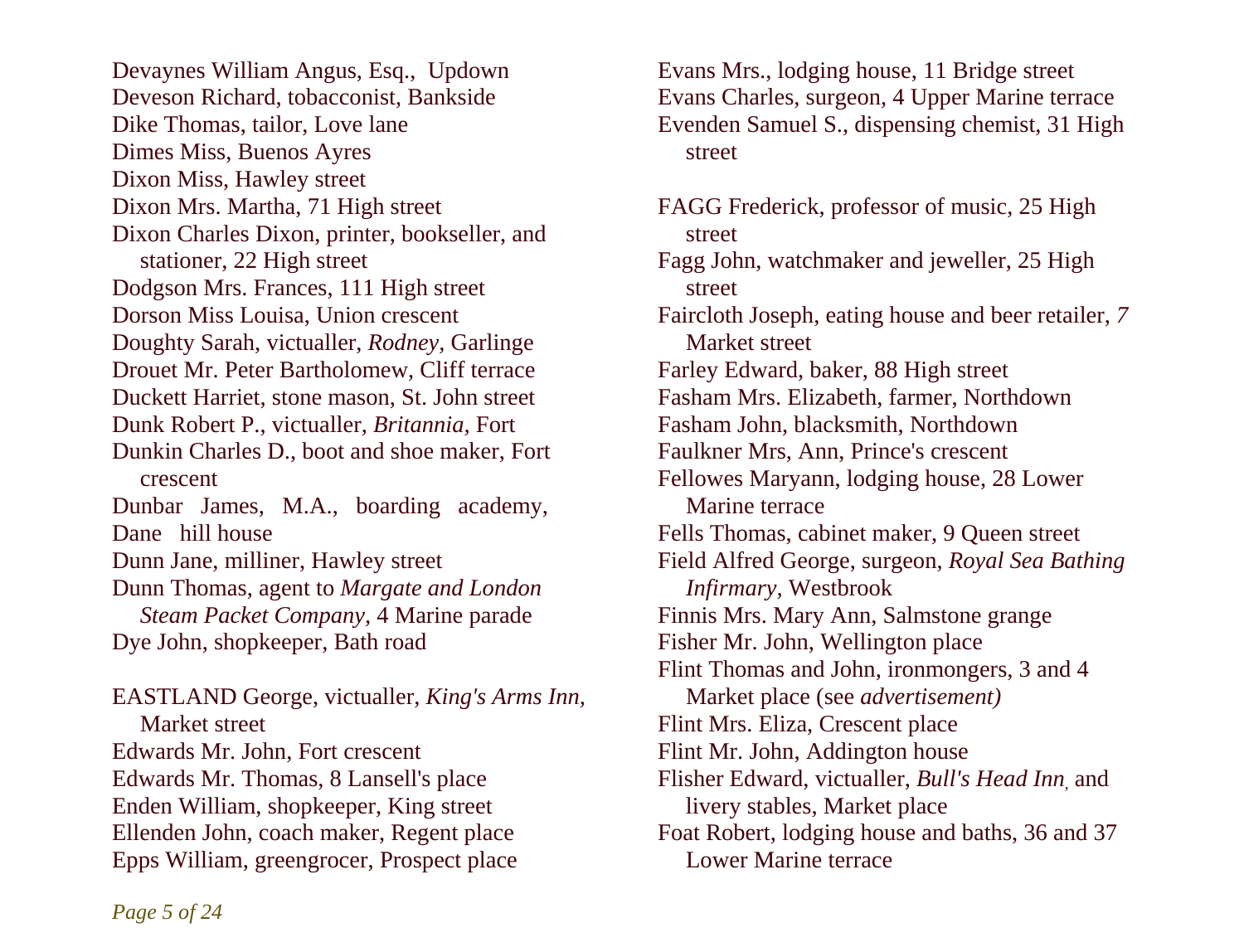Devaynes William Angus, Esq., Updown Deveson Richard, tobacconist, Bankside Dike Thomas, tailor, Love lane Dimes Miss, Buenos Ayres Dixon Miss, Hawley street Dixon Mrs. Martha, 71 High street Dixon Charles Dixon, printer, bookseller, and stationer, 22 High street Dodgson Mrs. Frances, 111 High street Dorson Miss Louisa, Union crescent Doughty Sarah, victualler, *Rodney,* Garlinge Drouet Mr. Peter Bartholomew, Cliff terrace Duckett Harriet, stone mason, St. John street Dunk Robert P., victualler, *Britannia,* Fort Dunkin Charles D., boot and shoe maker, Fort crescent Dunbar James, M.A., boarding academy, Dane hill house Dunn Jane, milliner, Hawley street Dunn Thomas, agent to *Margate and London Steam Packet Company,* 4 Marine parade Dye John, shopkeeper, Bath road EASTLAND George, victualler, *King's Arms Inn,*  Market street Edwards Mr. John, Fort crescent Edwards Mr. Thomas, 8 Lansell's place Enden William, shopkeeper, King street Ellenden John, coach maker, Regent place Epps William, greengrocer, Prospect place

Evans Mrs., lodging house, 11 Bridge street Evans Charles, surgeon, 4 Upper Marine terrace Evenden Samuel S., dispensing chemist, 31 High street

FAGG Frederick, professor of music, 25 High street Fagg John, watchmaker and jeweller, 25 High street Faircloth Joseph, eating house and beer retailer, *7*  Market street Farley Edward, baker, 88 High street Fasham Mrs. Elizabeth, farmer, Northdown Fasham John, blacksmith, Northdown Faulkner Mrs, Ann, Prince's crescent Fellowes Maryann, lodging house, 28 Lower Marine terrace Fells Thomas, cabinet maker, 9 Queen street Field Alfred George, surgeon, *Royal Sea Bathing Infirmary,* Westbrook Finnis Mrs. Mary Ann, Salmstone grange Fisher Mr. John, Wellington place Flint Thomas and John, ironmongers, 3 and 4 Market place (see *advertisement)*  Flint Mrs. Eliza, Crescent place Flint Mr. John, Addington house Flisher Edward, victualler, *Bull's Head Inn,* and livery stables, Market place Foat Robert, lodging house and baths, 36 and 37 Lower Marine terrace

*Page 5 of 24*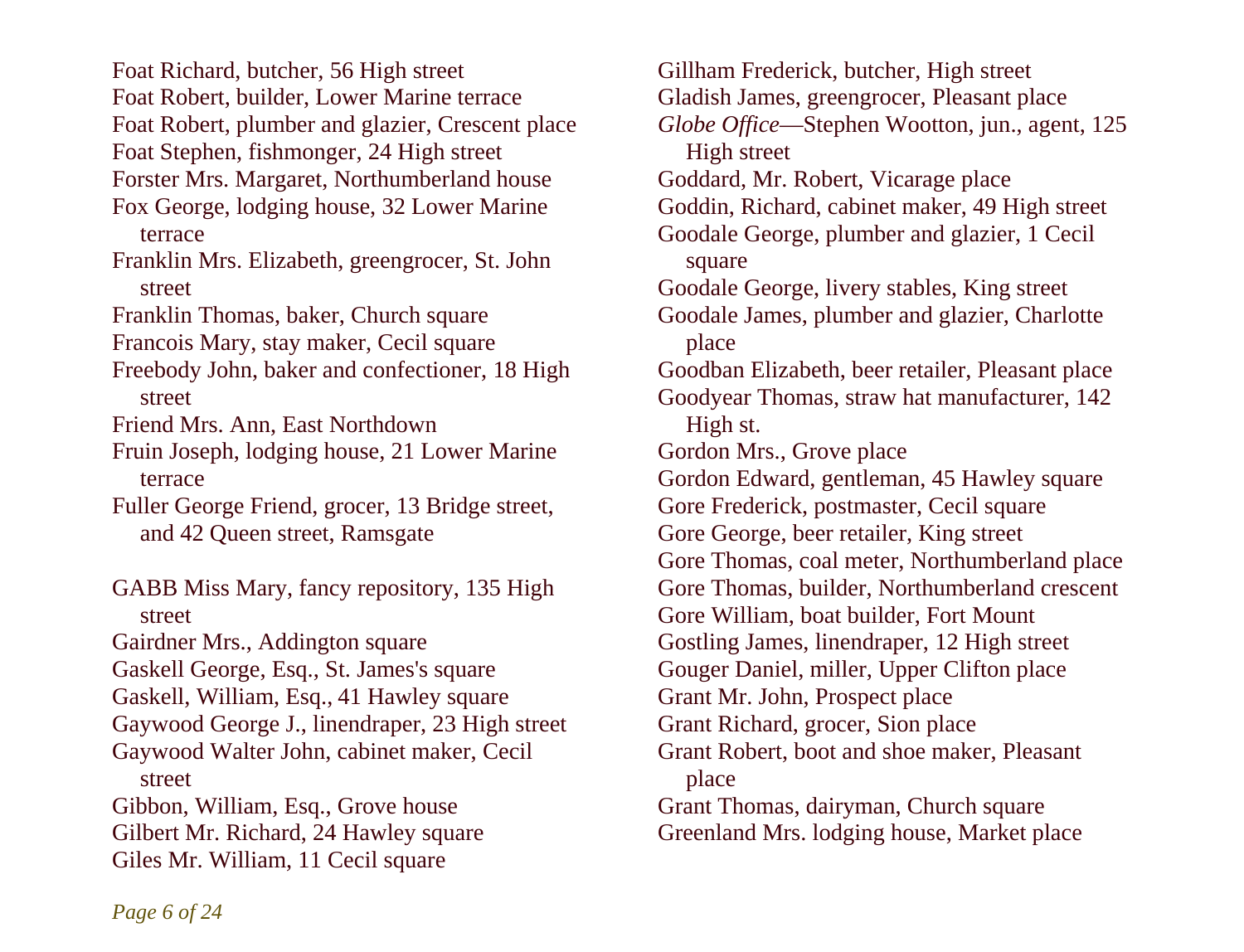Foat Richard, butcher, 56 High street Foat Robert, builder, Lower Marine terrace Foat Robert, plumber and glazier, Crescent place Foat Stephen, fishmonger, 24 High street Forster Mrs. Margaret, Northumberland house Fox George, lodging house, 32 Lower Marine terrace Franklin Mrs. Elizabeth, greengrocer, St. John street Franklin Thomas, baker, Church square Francois Mary, stay maker, Cecil square Freebody John, baker and confectioner, 18 High street Friend Mrs. Ann, East Northdown Fruin Joseph, lodging house, 21 Lower Marine terrace Fuller George Friend, grocer, 13 Bridge street, and 42 Queen street, Ramsgate GABB Miss Mary, fancy repository, 135 High street Gairdner Mrs., Addington square Gaskell George, Esq., St. James's square Gaskell, William, Esq., 41 Hawley square Gaywood George J., linendraper, 23 High street

Gaywood Walter John, cabinet maker, Cecil street

Gibbon, William, Esq., Grove house Gilbert Mr. Richard, 24 Hawley square Giles Mr. William, 11 Cecil square

Gillham Frederick, butcher, High street Gladish James, greengrocer, Pleasant place *Globe Office*—Stephen Wootton, jun., agent, 125 High street Goddard, Mr. Robert, Vicarage place Goddin, Richard, cabinet maker, 49 High street Goodale George, plumber and glazier, 1 Cecil square Goodale George, livery stables, King street Goodale James, plumber and glazier, Charlotte place Goodban Elizabeth, beer retailer, Pleasant place Goodyear Thomas, straw hat manufacturer, 142 High st. Gordon Mrs., Grove place Gordon Edward, gentleman, 45 Hawley square Gore Frederick, postmaster, Cecil square Gore George, beer retailer, King street Gore Thomas, coal meter, Northumberland place Gore Thomas, builder, Northumberland crescent Gore William, boat builder, Fort Mount Gostling James, linendraper, 12 High street Gouger Daniel, miller, Upper Clifton place Grant Mr. John, Prospect place Grant Richard, grocer, Sion place Grant Robert, boot and shoe maker, Pleasant place Grant Thomas, dairyman, Church square Greenland Mrs. lodging house, Market place

*Page 6 of 24*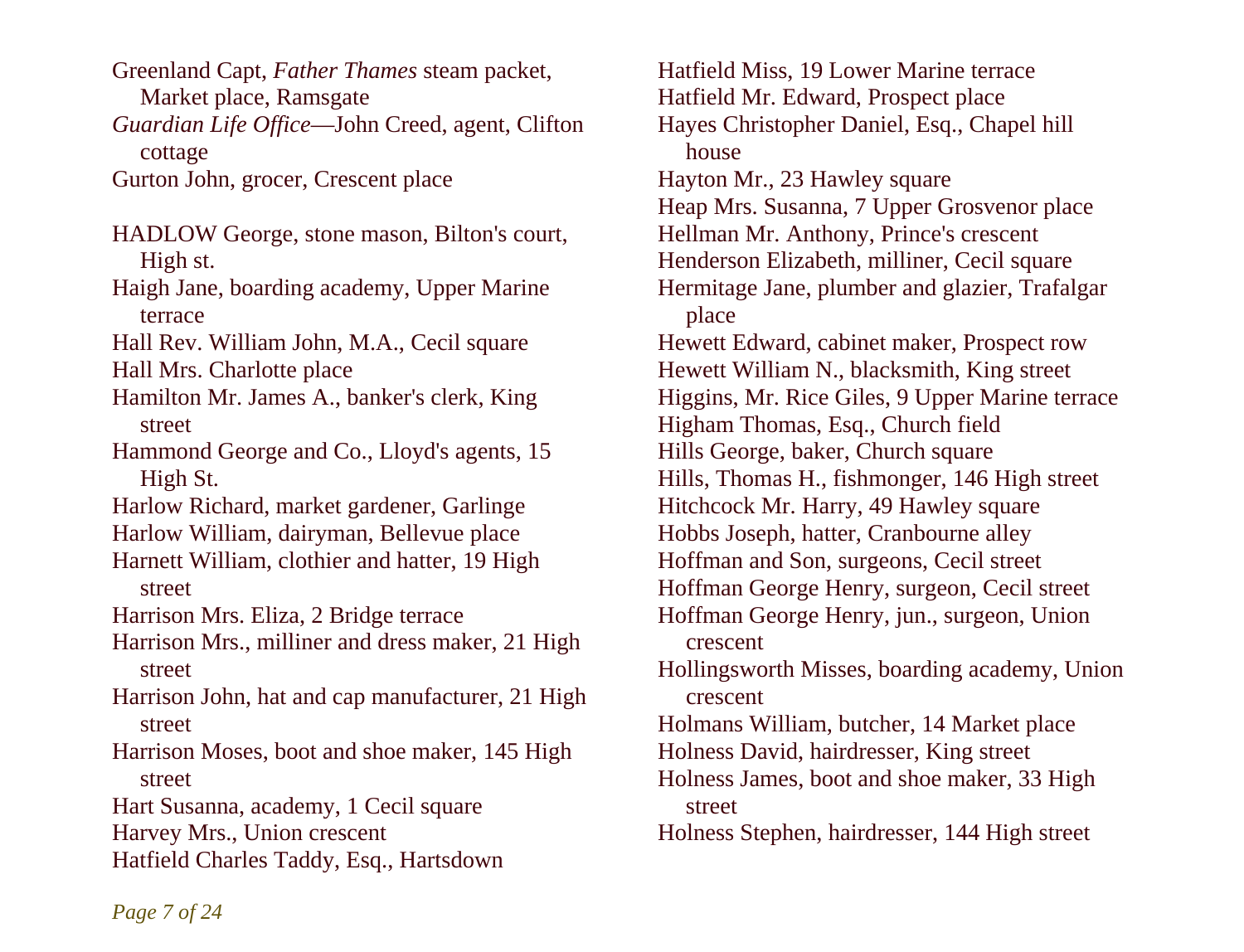Greenland Capt, *Father Thames* steam packet, Market place, Ramsgate *Guardian Life Office*—John Creed, agent, Clifton

cottage

Gurton John, grocer, Crescent place

- HADLOW George, stone mason, Bilton's court, High st.
- Haigh Jane, boarding academy, Upper Marine terrace
- Hall Rev. William John, M.A., Cecil square Hall Mrs. Charlotte place
- Hamilton Mr. James A., banker's clerk, King street
- Hammond George and Co., Lloyd's agents, 15 High St.
- Harlow Richard, market gardener, Garlinge
- Harlow William, dairyman, Bellevue place
- Harnett William, clothier and hatter, 19 High street

Harrison Mrs. Eliza, 2 Bridge terrace

- Harrison Mrs., milliner and dress maker, 21 High street
- Harrison John, hat and cap manufacturer, 21 High street
- Harrison Moses, boot and shoe maker, 145 High street

Hart Susanna, academy, 1 Cecil square

- Harvey Mrs., Union crescent
- Hatfield Charles Taddy, Esq., Hartsdown

Hatfield Miss, 19 Lower Marine terrace Hatfield Mr. Edward, Prospect place Hayes Christopher Daniel, Esq., Chapel hill house Hayton Mr., 23 Hawley square Heap Mrs. Susanna, 7 Upper Grosvenor place Hellman Mr. Anthony, Prince's crescent Henderson Elizabeth, milliner, Cecil square Hermitage Jane, plumber and glazier, Trafalgar place Hewett Edward, cabinet maker, Prospect row Hewett William N., blacksmith, King street Higgins, Mr. Rice Giles, 9 Upper Marine terrace Higham Thomas, Esq., Church field Hills George, baker, Church square Hills, Thomas H., fishmonger, 146 High street Hitchcock Mr. Harry, 49 Hawley square Hobbs Joseph, hatter, Cranbourne alley Hoffman and Son, surgeons, Cecil street Hoffman George Henry, surgeon, Cecil street Hoffman George Henry, jun., surgeon, Union crescent Hollingsworth Misses, boarding academy, Union crescent Holmans William, butcher, 14 Market place Holness David, hairdresser, King street Holness James, boot and shoe maker, 33 High street Holness Stephen, hairdresser, 144 High street

*Page 7 of 24*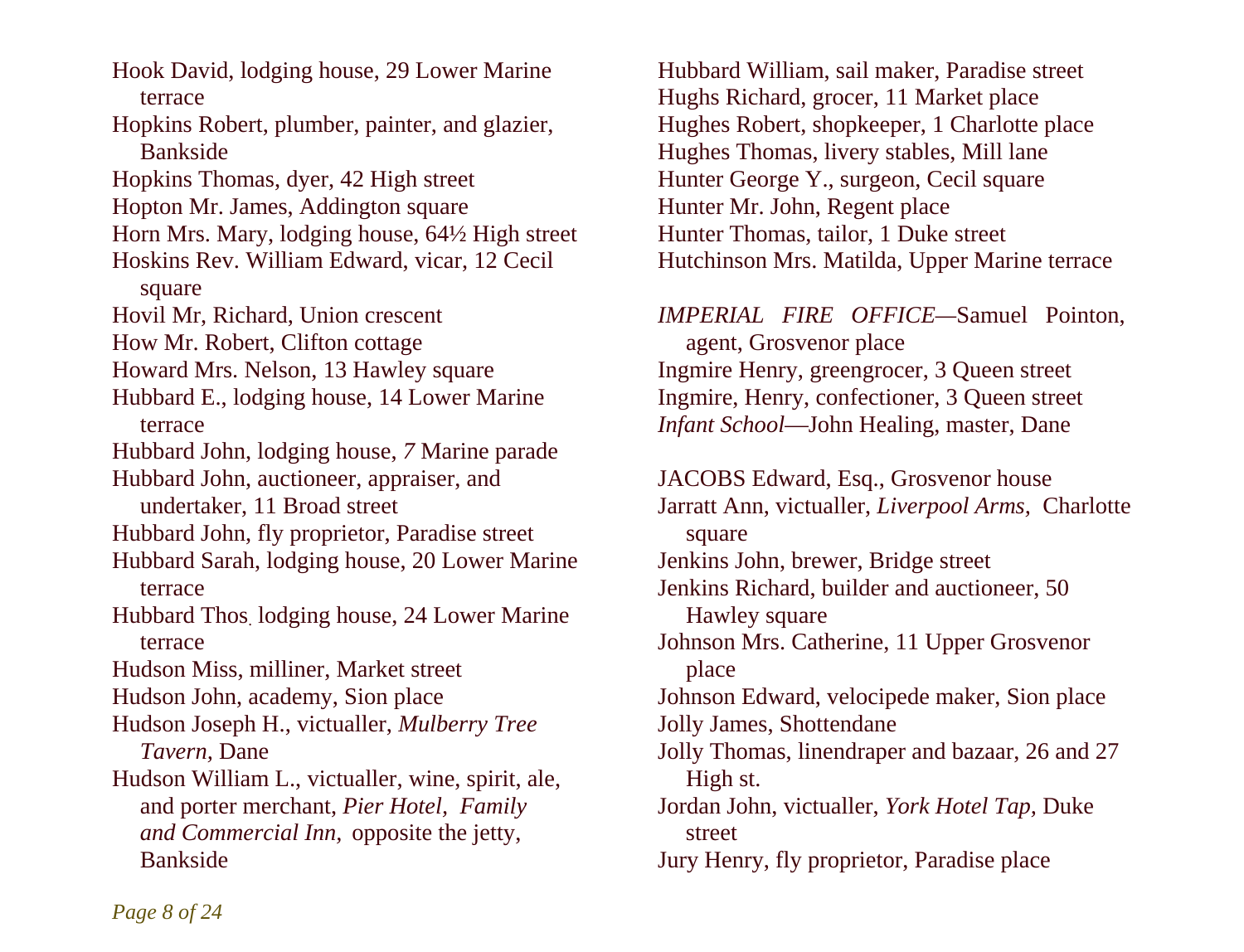Hook David, lodging house, 29 Lower Marine terrace Hopkins Robert, plumber, painter, and glazier, Bankside Hopkins Thomas, dyer, 42 High street Hopton Mr. James, Addington square Horn Mrs. Mary, lodging house, 64½ High street Hoskins Rev. William Edward, vicar, 12 Cecil square Hovil Mr, Richard, Union crescent How Mr. Robert, Clifton cottage Howard Mrs. Nelson, 13 Hawley square Hubbard E., lodging house, 14 Lower Marine terrace Hubbard John, lodging house, *7* Marine parade Hubbard John, auctioneer, appraiser, and undertaker, 11 Broad street Hubbard John, fly proprietor, Paradise street Hubbard Sarah, lodging house, 20 Lower Marine terrace Hubbard Thos. lodging house, 24 Lower Marine terrace Hudson Miss, milliner, Market street Hudson John, academy, Sion place Hudson Joseph H., victualler, *Mulberry Tree Tavern,* Dane Hudson William L., victualler, wine, spirit, ale, and porter merchant, *Pier Hotel, Family and Commercial Inn,* opposite the jetty, Bankside

Hubbard William, sail maker, Paradise street Hughs Richard, grocer, 11 Market place Hughes Robert, shopkeeper, 1 Charlotte place Hughes Thomas, livery stables, Mill lane Hunter George Y., surgeon, Cecil square Hunter Mr. John, Regent place Hunter Thomas, tailor, 1 Duke street Hutchinson Mrs. Matilda, Upper Marine terrace

*IMPERIAL FIRE OFFICE—*Samuel Pointon, agent, Grosvenor place Ingmire Henry, greengrocer, 3 Queen street Ingmire, Henry, confectioner, 3 Queen street *Infant School*—John Healing, master, Dane

JACOBS Edward, Esq., Grosvenor house Jarratt Ann, victualler, *Liverpool Arms,* Charlotte square Jenkins John, brewer, Bridge street Jenkins Richard, builder and auctioneer, 50 Hawley square Johnson Mrs. Catherine, 11 Upper Grosvenor place Johnson Edward, velocipede maker, Sion place Jolly James, Shottendane Jolly Thomas, linendraper and bazaar, 26 and 27 High st. Jordan John, victualler, *York Hotel Tap,* Duke street Jury Henry, fly proprietor, Paradise place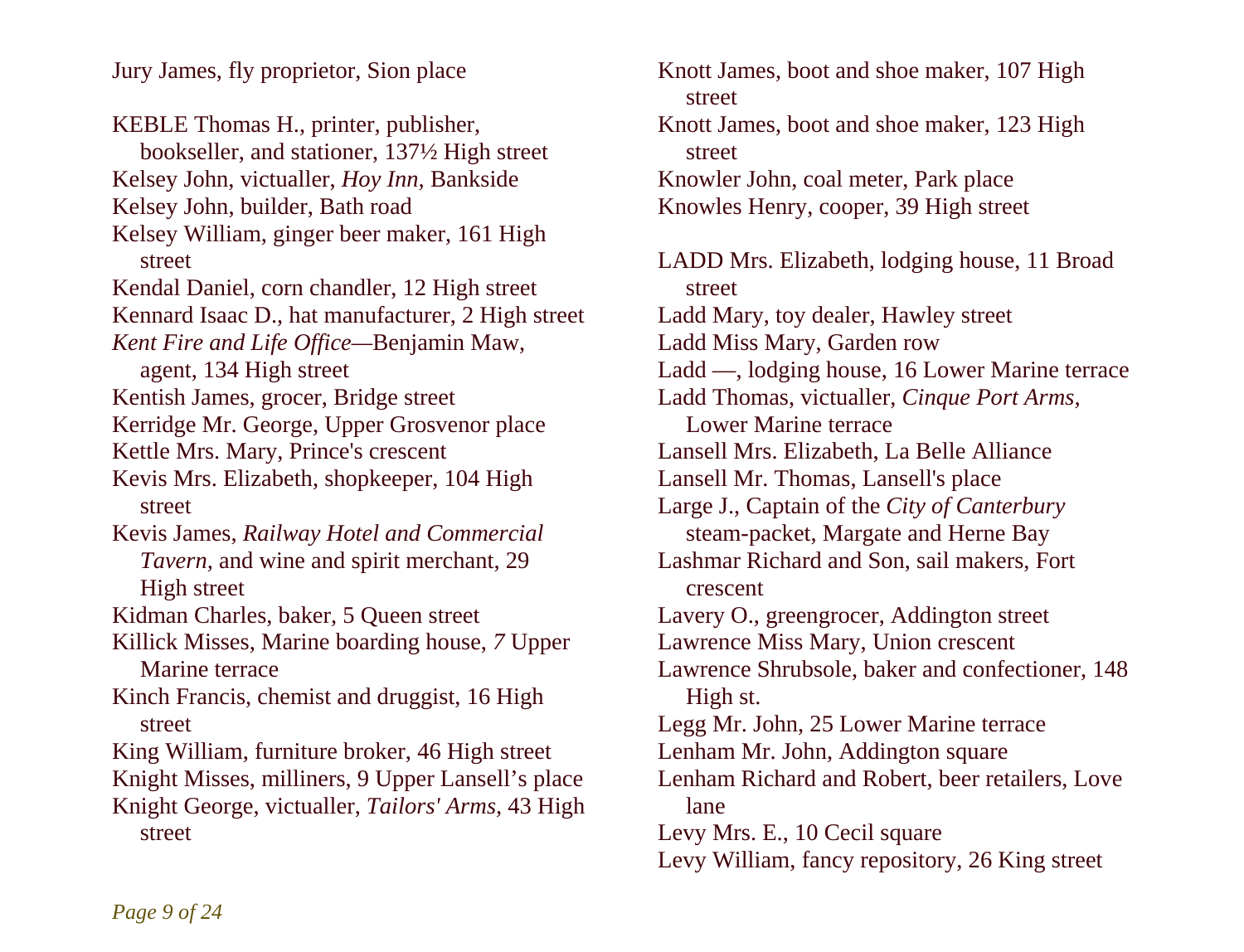Jury James, fly proprietor, Sion place

KEBLE Thomas H., printer, publisher, bookseller, and stationer, 137½ High street Kelsey John, victualler, *Hoy Inn,* Bankside Kelsey John, builder, Bath road Kelsey William, ginger beer maker, 161 High street Kendal Daniel, corn chandler, 12 High street Kennard Isaac D., hat manufacturer, 2 High street *Kent Fire and Life Office—*Benjamin Maw, agent, 134 High street Kentish James, grocer, Bridge street Kerridge Mr. George, Upper Grosvenor place Kettle Mrs. Mary, Prince's crescent Kevis Mrs. Elizabeth, shopkeeper, 104 High street Kevis James, *Railway Hotel and Commercial Tavern,* and wine and spirit merchant, 29 High street Kidman Charles, baker, 5 Queen street Killick Misses, Marine boarding house, *7* Upper Marine terrace Kinch Francis, chemist and druggist, 16 High street King William, furniture broker, 46 High street Knight Misses, milliners, 9 Upper Lansell's place Knight George, victualler, *Tailors' Arms,* 43 High street

Knott James, boot and shoe maker, 107 High street Knott James, boot and shoe maker, 123 High street Knowler John, coal meter, Park place Knowles Henry, cooper, 39 High street LADD Mrs. Elizabeth, lodging house, 11 Broad street Ladd Mary, toy dealer, Hawley street Ladd Miss Mary, Garden row Ladd —, lodging house, 16 Lower Marine terrace Ladd Thomas, victualler, *Cinque Port Arms,*  Lower Marine terrace Lansell Mrs. Elizabeth, La Belle Alliance Lansell Mr. Thomas, Lansell's place Large J., Captain of the *City of Canterbury*  steam-packet, Margate and Herne Bay Lashmar Richard and Son, sail makers, Fort crescent Lavery O., greengrocer, Addington street Lawrence Miss Mary, Union crescent Lawrence Shrubsole, baker and confectioner, 148 High st. Legg Mr. John, 25 Lower Marine terrace Lenham Mr. John, Addington square Lenham Richard and Robert, beer retailers, Love lane Levy Mrs. E., 10 Cecil square Levy William, fancy repository, 26 King street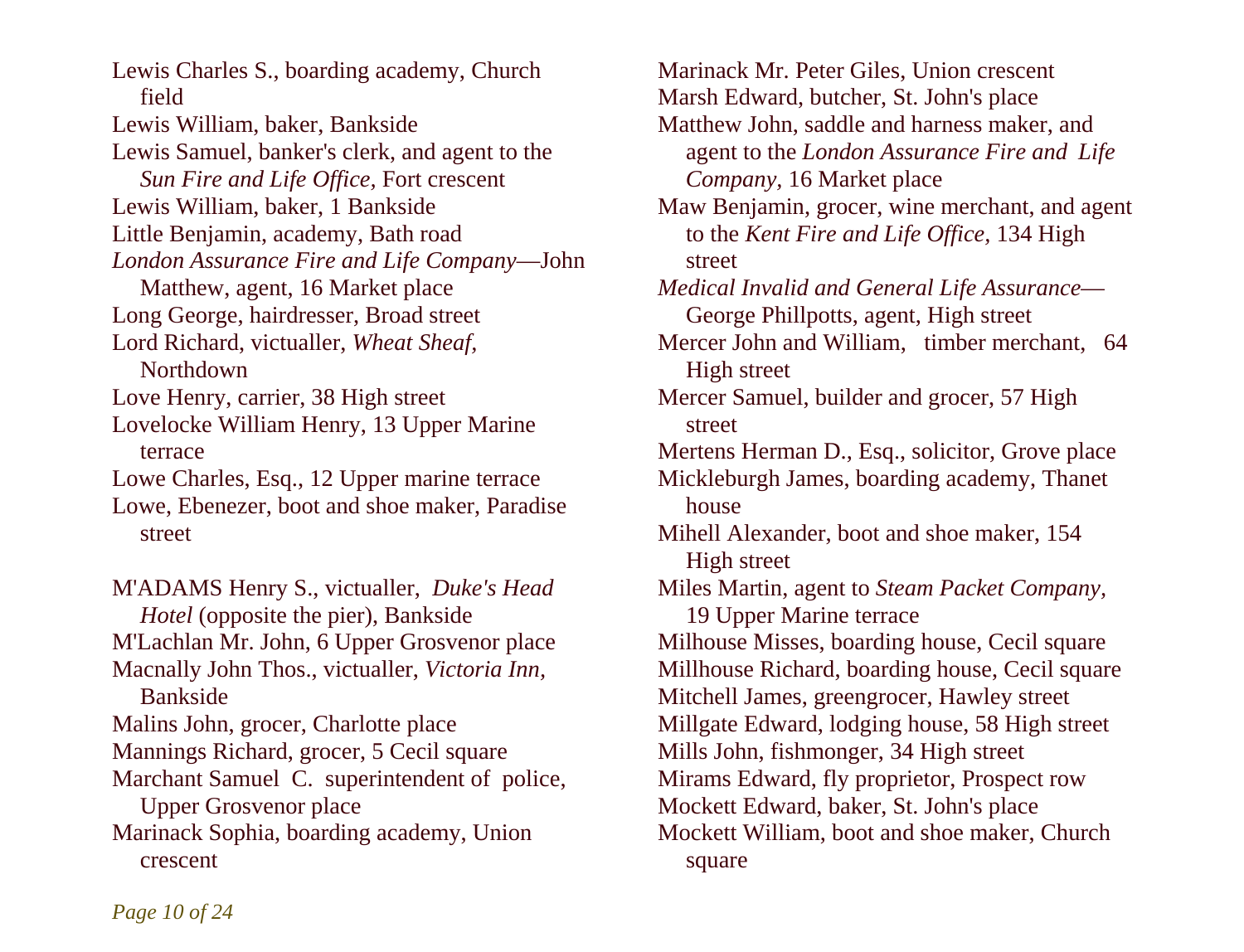Lewis Charles S., boarding academy, Church field Lewis William, baker, Bankside Lewis Samuel, banker's clerk, and agent to the *Sun Fire and Life Office,* Fort crescent Lewis William, baker, 1 Bankside Little Benjamin, academy, Bath road *London Assurance Fire and Life Company*—John Matthew, agent, 16 Market place Long George, hairdresser, Broad street Lord Richard, victualler, *Wheat Sheaf,*  Northdown Love Henry, carrier, 38 High street Lovelocke William Henry, 13 Upper Marine terrace Lowe Charles, Esq., 12 Upper marine terrace Lowe, Ebenezer, boot and shoe maker, Paradise street

M'ADAMS Henry S., victualler, *Duke's Head Hotel* (opposite the pier), Bankside M'Lachlan Mr. John, 6 Upper Grosvenor place Macnally John Thos., victualler, *Victoria Inn,*  Bankside Malins John, grocer, Charlotte place Mannings Richard, grocer, 5 Cecil square Marchant Samuel C. superintendent of police, Upper Grosvenor place Marinack Sophia, boarding academy, Union crescent

Marinack Mr. Peter Giles, Union crescent Marsh Edward, butcher, St. John's place Matthew John, saddle and harness maker, and agent to the *London Assurance Fire and Life Company,* 16 Market place Maw Benjamin, grocer, wine merchant, and agent to the *Kent Fire and Life Office,* 134 High street *Medical Invalid and General Life Assurance*— George Phillpotts, agent, High street Mercer John and William, timber merchant, 64 High street Mercer Samuel, builder and grocer, 57 High street Mertens Herman D., Esq., solicitor, Grove place Mickleburgh James, boarding academy, Thanet house Mihell Alexander, boot and shoe maker, 154 High street Miles Martin, agent to *Steam Packet Company,*  19 Upper Marine terrace Milhouse Misses, boarding house, Cecil square Millhouse Richard, boarding house, Cecil square Mitchell James, greengrocer, Hawley street Millgate Edward, lodging house, 58 High street Mills John, fishmonger, 34 High street Mirams Edward, fly proprietor, Prospect row Mockett Edward, baker, St. John's place Mockett William, boot and shoe maker, Church square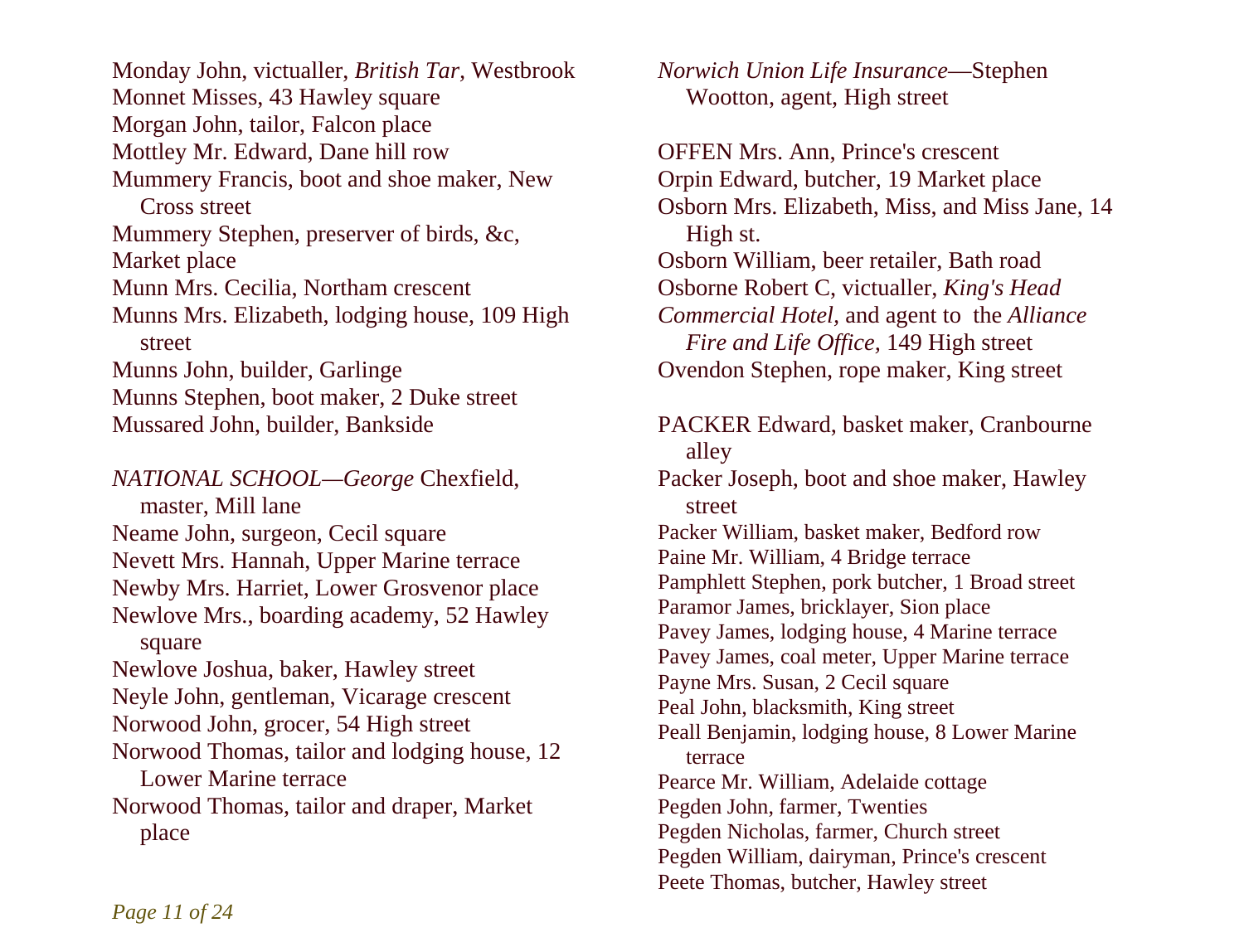Monday John, victualler, *British Tar,* Westbrook Monnet Misses, 43 Hawley square Morgan John, tailor, Falcon place Mottley Mr. Edward, Dane hill row Mummery Francis, boot and shoe maker, New Cross street Mummery Stephen, preserver of birds, &c, Market place Munn Mrs. Cecilia, Northam crescent Munns Mrs. Elizabeth, lodging house, 109 High street Munns John, builder, Garlinge Munns Stephen, boot maker, 2 Duke street Mussared John, builder, Bankside

*NATIONAL SCHOOL—George* Chexfield, master, Mill lane Neame John, surgeon, Cecil square Nevett Mrs. Hannah, Upper Marine terrace Newby Mrs. Harriet, Lower Grosvenor place Newlove Mrs., boarding academy, 52 Hawley square Newlove Joshua, baker, Hawley street Neyle John, gentleman, Vicarage crescent Norwood John, grocer, 54 High street Norwood Thomas, tailor and lodging house, 12 Lower Marine terrace Norwood Thomas, tailor and draper, Market place

*Norwich Union Life Insurance*—Stephen Wootton, agent, High street

OFFEN Mrs. Ann, Prince's crescent Orpin Edward, butcher, 19 Market place Osborn Mrs. Elizabeth, Miss, and Miss Jane, 14 High st. Osborn William, beer retailer, Bath road Osborne Robert C, victualler, *King's Head Commercial Hotel,* and agent to the *Alliance Fire and Life Office,* 149 High street Ovendon Stephen, rope maker, King street PACKER Edward, basket maker, Cranbourne alley Packer Joseph, boot and shoe maker, Hawley street Packer William, basket maker, Bedford row Paine Mr. William, 4 Bridge terrace Pamphlett Stephen, pork butcher, 1 Broad street Paramor James, bricklayer, Sion place Pavey James, lodging house, 4 Marine terrace Pavey James, coal meter, Upper Marine terrace Payne Mrs. Susan, 2 Cecil square Peal John, blacksmith, King street Peall Benjamin, lodging house, 8 Lower Marine terrace Pearce Mr. William, Adelaide cottage Pegden John, farmer, Twenties Pegden Nicholas, farmer, Church street Pegden William, dairyman, Prince's crescent Peete Thomas, butcher, Hawley street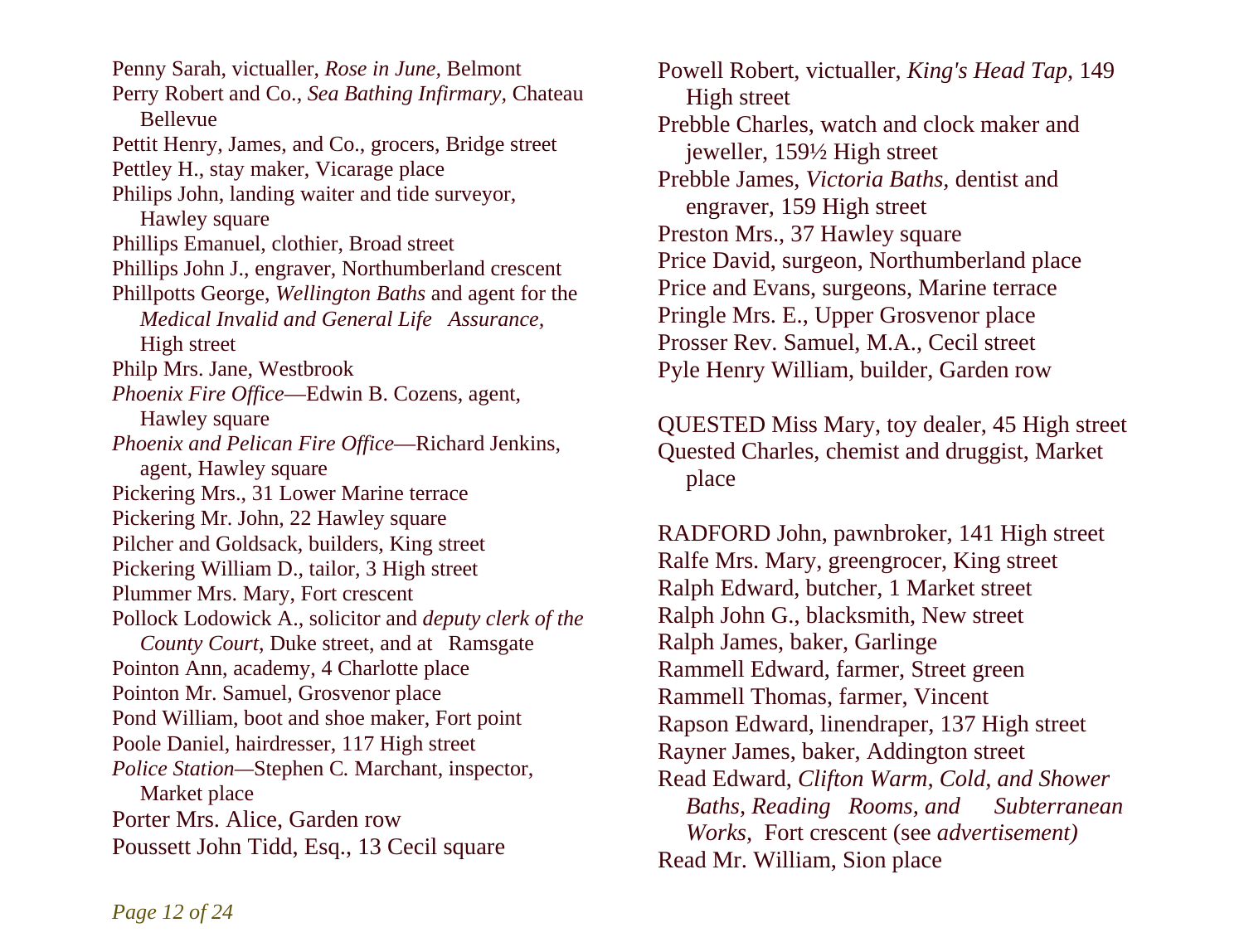Penny Sarah, victualler, *Rose in June,* Belmont Perry Robert and Co., *Sea Bathing Infirmary,* Chateau Bellevue Pettit Henry, James, and Co., grocers, Bridge street Pettley H., stay maker, Vicarage place Philips John, landing waiter and tide surveyor, Hawley square Phillips Emanuel, clothier, Broad street Phillips John J., engraver, Northumberland crescent Phillpotts George, *Wellington Baths* and agent for the *Medical Invalid and General Life Assurance,*  High street Philp Mrs. Jane, Westbrook *Phoenix Fire Office*—Edwin B. Cozens, agent, Hawley square *Phoenix and Pelican Fire Office*—Richard Jenkins, agent, Hawley square Pickering Mrs., 31 Lower Marine terrace Pickering Mr. John, 22 Hawley square Pilcher and Goldsack, builders, King street Pickering William D., tailor, 3 High street Plummer Mrs. Mary, Fort crescent Pollock Lodowick A., solicitor and *deputy clerk of the County Court*, Duke street, and at Ramsgate Pointon Ann, academy, 4 Charlotte place Pointon Mr. Samuel, Grosvenor place Pond William, boot and shoe maker, Fort point Poole Daniel, hairdresser, 117 High street *Police Station—*Stephen C*.* Marchant, inspector, Market place Porter Mrs. Alice, Garden row Poussett John Tidd, Esq., 13 Cecil square

Powell Robert, victualler, *King's Head Tap,* 149 High street Prebble Charles, watch and clock maker and jeweller, 159½ High street Prebble James, *Victoria Baths,* dentist and engraver, 159 High street Preston Mrs., 37 Hawley square Price David, surgeon, Northumberland place Price and Evans, surgeons, Marine terrace Pringle Mrs. E., Upper Grosvenor place Prosser Rev. Samuel, M.A., Cecil street Pyle Henry William, builder, Garden row

QUESTED Miss Mary, toy dealer, 45 High street Quested Charles, chemist and druggist, Market place

RADFORD John, pawnbroker, 141 High street Ralfe Mrs. Mary, greengrocer, King street Ralph Edward, butcher, 1 Market street Ralph John G., blacksmith, New street Ralph James, baker, Garlinge Rammell Edward, farmer, Street green Rammell Thomas, farmer, Vincent Rapson Edward, linendraper, 137 High street Rayner James, baker, Addington street Read Edward, *Clifton Warm, Cold, and Shower Baths, Reading Rooms, and Subterranean Works,* Fort crescent (see *advertisement)*  Read Mr. William, Sion place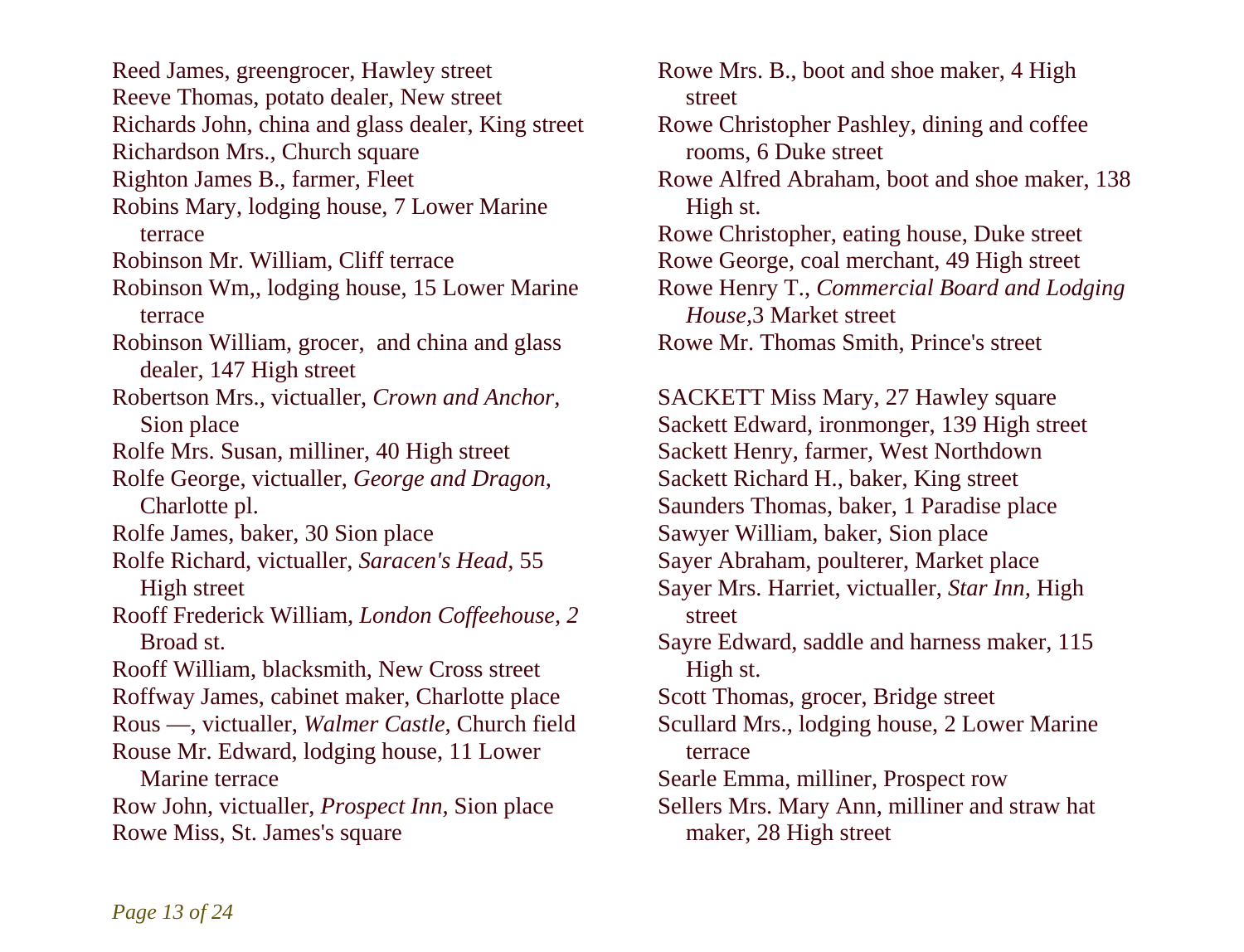Reed James, greengrocer, Hawley street Reeve Thomas, potato dealer, New street Richards John, china and glass dealer, King street Richardson Mrs., Church square Righton James B., farmer, Fleet Robins Mary, lodging house, 7 Lower Marine terrace Robinson Mr. William, Cliff terrace Robinson Wm,, lodging house, 15 Lower Marine terrace Robinson William, grocer, and china and glass dealer, 147 High street Robertson Mrs., victualler, *Crown and Anchor,*  Sion place Rolfe Mrs. Susan, milliner, 40 High street Rolfe George, victualler, *George and Dragon,*  Charlotte pl. Rolfe James, baker, 30 Sion place Rolfe Richard, victualler, *Saracen's Head,* 55 High street Rooff Frederick William, *London Coffeehouse, 2*  Broad st. Rooff William, blacksmith, New Cross street Roffway James, cabinet maker, Charlotte place Rous —, victualler, *Walmer Castle,* Church field Rouse Mr. Edward, lodging house, 11 Lower Marine terrace Row John, victualler, *Prospect Inn,* Sion place Rowe Miss, St. James's square

Rowe Mrs. B., boot and shoe maker, 4 High street Rowe Christopher Pashley, dining and coffee rooms, 6 Duke street Rowe Alfred Abraham, boot and shoe maker, 138 High st. Rowe Christopher, eating house, Duke street Rowe George, coal merchant, 49 High street Rowe Henry T., *Commercial Board and Lodging House,*3 Market street Rowe Mr. Thomas Smith, Prince's street

SACKETT Miss Mary, 27 Hawley square Sackett Edward, ironmonger, 139 High street Sackett Henry, farmer, West Northdown Sackett Richard H., baker, King street Saunders Thomas, baker, 1 Paradise place Sawyer William, baker, Sion place Sayer Abraham, poulterer, Market place Sayer Mrs. Harriet, victualler, *Star Inn,* High street Sayre Edward, saddle and harness maker, 115 High st. Scott Thomas, grocer, Bridge street Scullard Mrs., lodging house, 2 Lower Marine terrace Searle Emma, milliner, Prospect row Sellers Mrs. Mary Ann, milliner and straw hat maker, 28 High street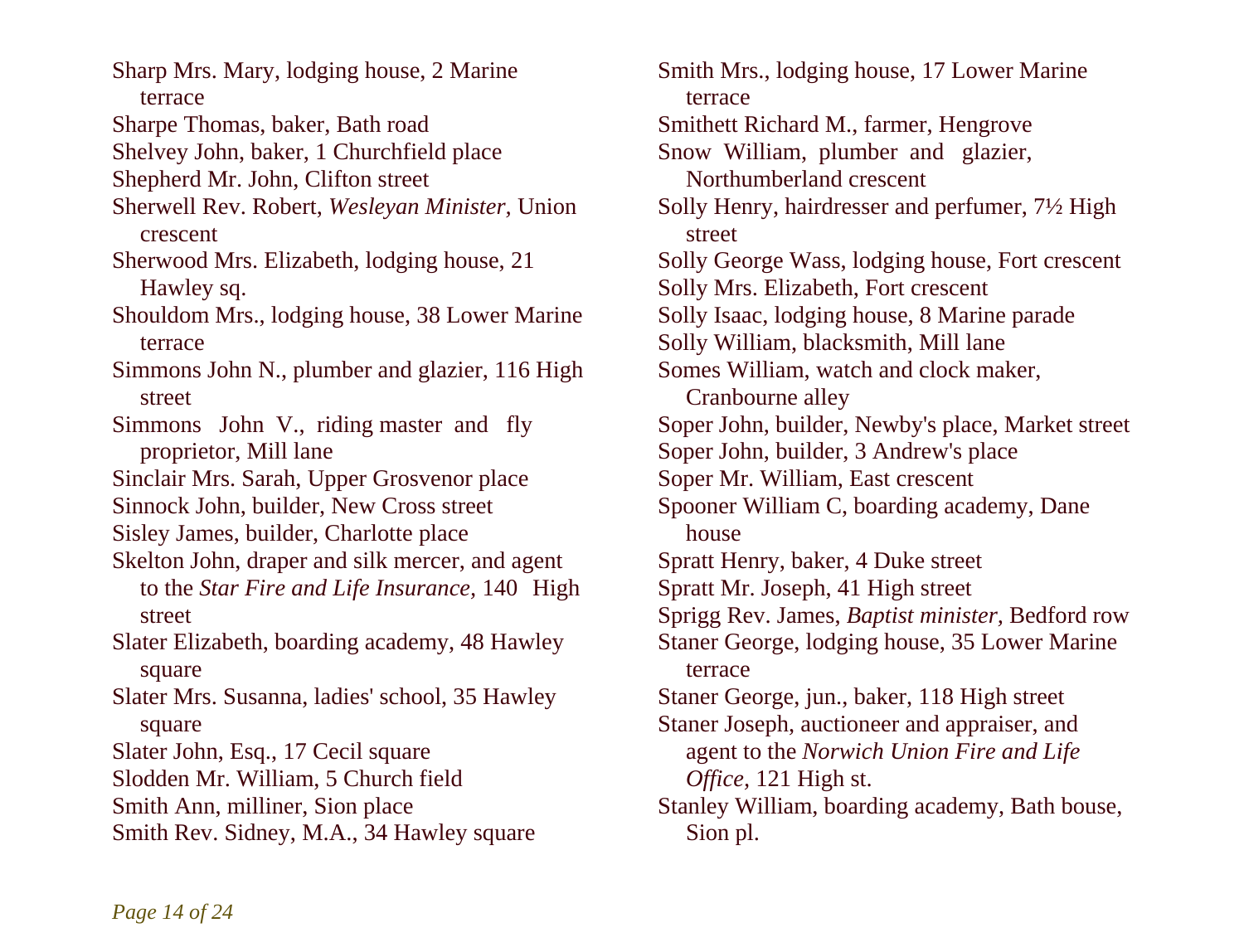Sharp Mrs. Mary, lodging house, 2 Marine terrace Sharpe Thomas, baker, Bath road Shelvey John, baker, 1 Churchfield place Shepherd Mr. John, Clifton street Sherwell Rev. Robert, *Wesleyan Minister,* Union crescent Sherwood Mrs. Elizabeth, lodging house, 21 Hawley sq. Shouldom Mrs., lodging house, 38 Lower Marine terrace Simmons John N., plumber and glazier, 116 High street Simmons John V., riding master and fly proprietor, Mill lane Sinclair Mrs. Sarah, Upper Grosvenor place Sinnock John, builder, New Cross street Sisley James, builder, Charlotte place Skelton John, draper and silk mercer, and agent to the *Star Fire and Life Insurance,* 140 High street Slater Elizabeth, boarding academy, 48 Hawley square Slater Mrs. Susanna, ladies' school, 35 Hawley square Slater John, Esq., 17 Cecil square Slodden Mr. William, 5 Church field Smith Ann, milliner, Sion place Smith Rev. Sidney, M.A., 34 Hawley square

Smith Mrs., lodging house, 17 Lower Marine terrace Smithett Richard M., farmer, Hengrove Snow William, plumber and glazier, Northumberland crescent Solly Henry, hairdresser and perfumer, 7½ High street Solly George Wass, lodging house, Fort crescent Solly Mrs. Elizabeth, Fort crescent Solly Isaac, lodging house, 8 Marine parade Solly William, blacksmith, Mill lane Somes William, watch and clock maker, Cranbourne alley Soper John, builder, Newby's place, Market street Soper John, builder, 3 Andrew's place Soper Mr. William, East crescent Spooner William C, boarding academy, Dane house Spratt Henry, baker, 4 Duke street Spratt Mr. Joseph, 41 High street Sprigg Rev. James, *Baptist minister,* Bedford row Staner George, lodging house, 35 Lower Marine terrace Staner George, jun., baker, 118 High street Staner Joseph, auctioneer and appraiser, and agent to the *Norwich Union Fire and Life Office,* 121 High st. Stanley William, boarding academy, Bath bouse, Sion pl.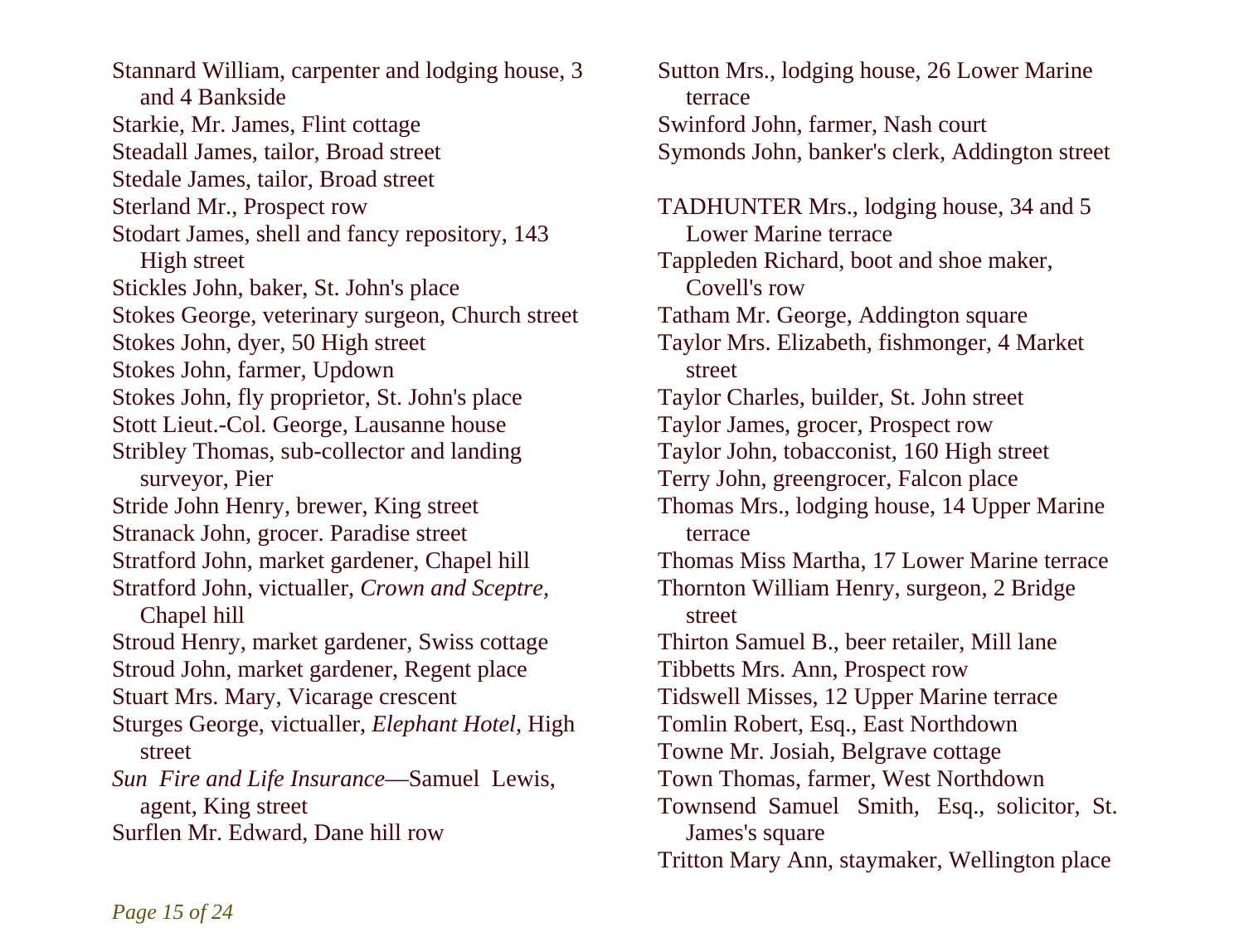Stannard William, carpenter and lodging house, 3 and 4 Bankside Starkie, Mr. James, Flint cottage Steadall James, tailor, Broad street Stedale James, tailor, Broad street Sterland Mr., Prospect row Stodart James, shell and fancy repository, 143 High street Stickles John, baker, St. John's place Stokes George, veterinary surgeon, Church street Stokes John, dyer, 50 High street Stokes John, farmer, Updown Stokes John, fly proprietor, St. John's place Stott Lieut.-Col. George, Lausanne house Stribley Thomas, sub-collector and landing surveyor, Pier Stride John Henry, brewer, King street Stranack John, grocer. Paradise street Stratford John, market gardener, Chapel hill Stratford John, victualler, *Crown and Sceptre,*  Chapel hill Stroud Henry, market gardener, Swiss cottage Stroud John, market gardener, Regent place Stuart Mrs. Mary, Vicarage crescent Sturges George, victualler, *Elephant Hotel,* High street *Sun Fire and Life Insurance*—Samuel Lewis, agent, King street Surflen Mr. Edward, Dane hill row

Sutton Mrs., lodging house, 26 Lower Marine terrace Swinford John, farmer, Nash court Symonds John, banker's clerk, Addington street TADHUNTER Mrs., lodging house, 34 and 5 Lower Marine terrace Tappleden Richard, boot and shoe maker, Covell's row Tatham Mr. George, Addington square Taylor Mrs. Elizabeth, fishmonger, 4 Market street Taylor Charles, builder, St. John street Taylor James, grocer, Prospect row Taylor John, tobacconist, 160 High street Terry John, greengrocer, Falcon place Thomas Mrs., lodging house, 14 Upper Marine terrace Thomas Miss Martha, 17 Lower Marine terrace Thornton William Henry, surgeon, 2 Bridge street Thirton Samuel B., beer retailer, Mill lane Tibbetts Mrs. Ann, Prospect row Tidswell Misses, 12 Upper Marine terrace Tomlin Robert, Esq., East Northdown Towne Mr. Josiah, Belgrave cottage Town Thomas, farmer, West Northdown Townsend Samuel Smith, Esq., solicitor, St. James's square Tritton Mary Ann, staymaker, Wellington place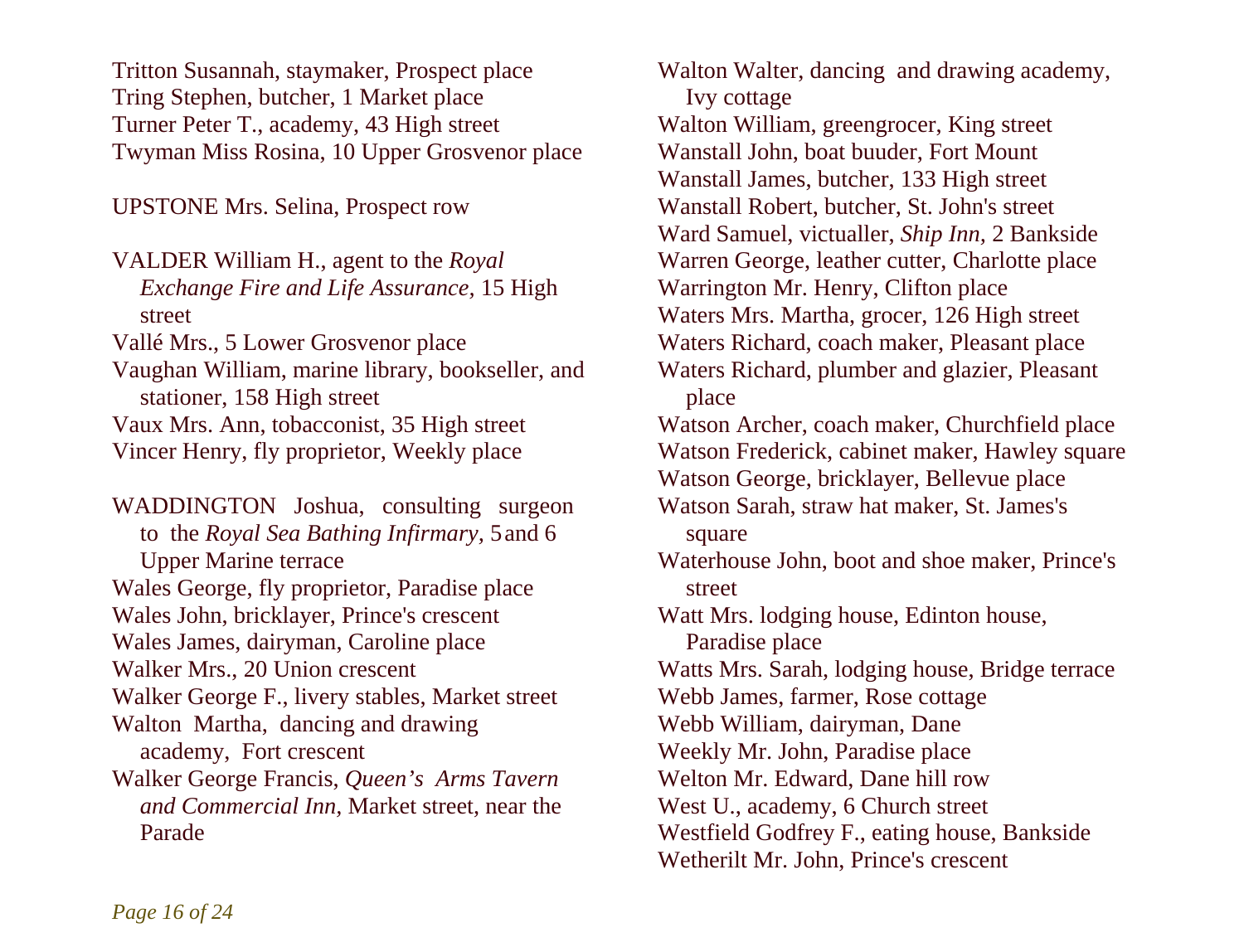Tritton Susannah, staymaker, Prospect place Tring Stephen, butcher, 1 Market place Turner Peter T., academy, 43 High street Twyman Miss Rosina, 10 Upper Grosvenor place

UPSTONE Mrs. Selina, Prospect row

VALDER William H., agent to the *Royal Exchange Fire and Life Assurance,* 15 High street Vallé Mrs., 5 Lower Grosvenor place Vaughan William, marine library, bookseller, and stationer, 158 High street Vaux Mrs. Ann, tobacconist, 35 High street Vincer Henry, fly proprietor, Weekly place

WADDINGTON Joshua, consulting surgeon to the *Royal Sea Bathing Infirmary,* 5 and 6 Upper Marine terrace Wales George, fly proprietor, Paradise place Wales John, bricklayer, Prince's crescent Wales James, dairyman, Caroline place Walker Mrs., 20 Union crescent Walker George F., livery stables, Market street Walton Martha, dancing and drawing academy, Fort crescent Walker George Francis, *Queen's Arms Tavern and Commercial Inn,* Market street, near the Parade

Walton Walter, dancing and drawing academy, Ivy cottage Walton William, greengrocer, King street Wanstall John, boat buuder, Fort Mount Wanstall James, butcher, 133 High street Wanstall Robert, butcher, St. John's street Ward Samuel, victualler, *Ship Inn,* 2 Bankside Warren George, leather cutter, Charlotte place Warrington Mr. Henry, Clifton place Waters Mrs. Martha, grocer, 126 High street Waters Richard, coach maker, Pleasant place Waters Richard, plumber and glazier, Pleasant place Watson Archer, coach maker, Churchfield place Watson Frederick, cabinet maker, Hawley square Watson George, bricklayer, Bellevue place Watson Sarah, straw hat maker, St. James's square Waterhouse John, boot and shoe maker, Prince's street Watt Mrs. lodging house, Edinton house, Paradise place Watts Mrs. Sarah, lodging house, Bridge terrace Webb James, farmer, Rose cottage Webb William, dairyman, Dane Weekly Mr. John, Paradise place Welton Mr. Edward, Dane hill row West U., academy, 6 Church street Westfield Godfrey F., eating house, Bankside Wetherilt Mr. John, Prince's crescent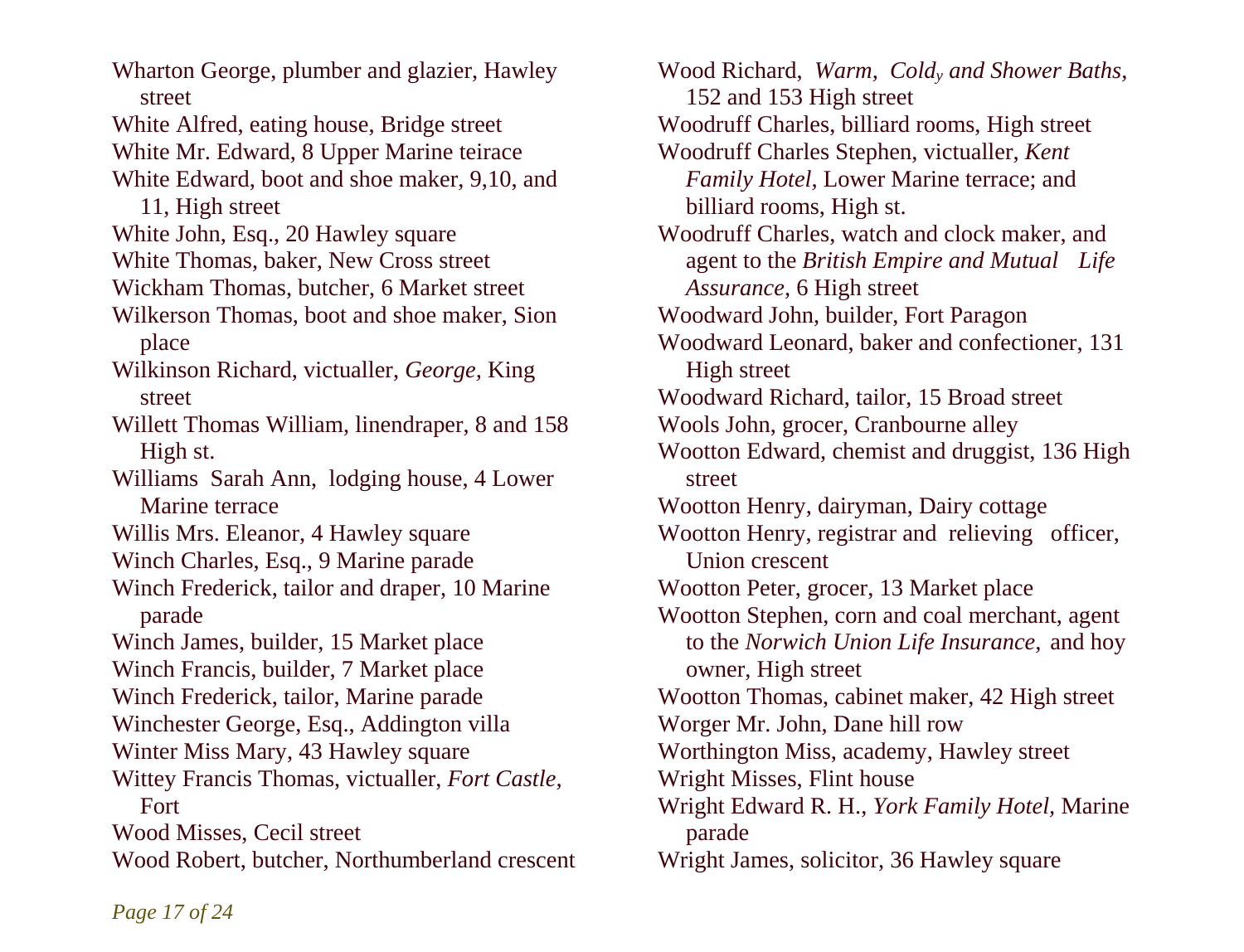Wharton George, plumber and glazier, Hawley street White Alfred, eating house, Bridge street White Mr. Edward, 8 Upper Marine teirace White Edward, boot and shoe maker, 9,10, and 11, High street White John, Esq., 20 Hawley square White Thomas, baker, New Cross street Wickham Thomas, butcher, 6 Market street Wilkerson Thomas, boot and shoe maker, Sion place Wilkinson Richard, victualler, *George,* King street Willett Thomas William, linendraper, 8 and 158 High st. Williams Sarah Ann, lodging house, 4 Lower Marine terrace Willis Mrs. Eleanor, 4 Hawley square Winch Charles, Esq., 9 Marine parade Winch Frederick, tailor and draper, 10 Marine parade Winch James, builder, 15 Market place Winch Francis, builder, 7 Market place Winch Frederick, tailor, Marine parade Winchester George, Esq., Addington villa Winter Miss Mary, 43 Hawley square Wittey Francis Thomas, victualler, *Fort Castle,*  Fort Wood Misses, Cecil street Wood Robert, butcher, Northumberland crescent

Wood Richard, *Warm, Coldy and Shower Baths,*  152 and 153 High street Woodruff Charles, billiard rooms, High street Woodruff Charles Stephen, victualler, *Kent Family Hotel,* Lower Marine terrace; and billiard rooms, High st. Woodruff Charles, watch and clock maker, and agent to the *British Empire and Mutual Life Assurance,* 6 High street Woodward John, builder, Fort Paragon Woodward Leonard, baker and confectioner, 131 High street Woodward Richard, tailor, 15 Broad street Wools John, grocer, Cranbourne alley Wootton Edward, chemist and druggist, 136 High street Wootton Henry, dairyman, Dairy cottage Wootton Henry, registrar and relieving officer, Union crescent Wootton Peter, grocer, 13 Market place Wootton Stephen, corn and coal merchant, agent to the *Norwich Union Life Insurance,* and hoy owner, High street Wootton Thomas, cabinet maker, 42 High street Worger Mr. John, Dane hill row Worthington Miss, academy, Hawley street Wright Misses, Flint house Wright Edward R. H., *York Family Hotel,* Marine parade Wright James, solicitor, 36 Hawley square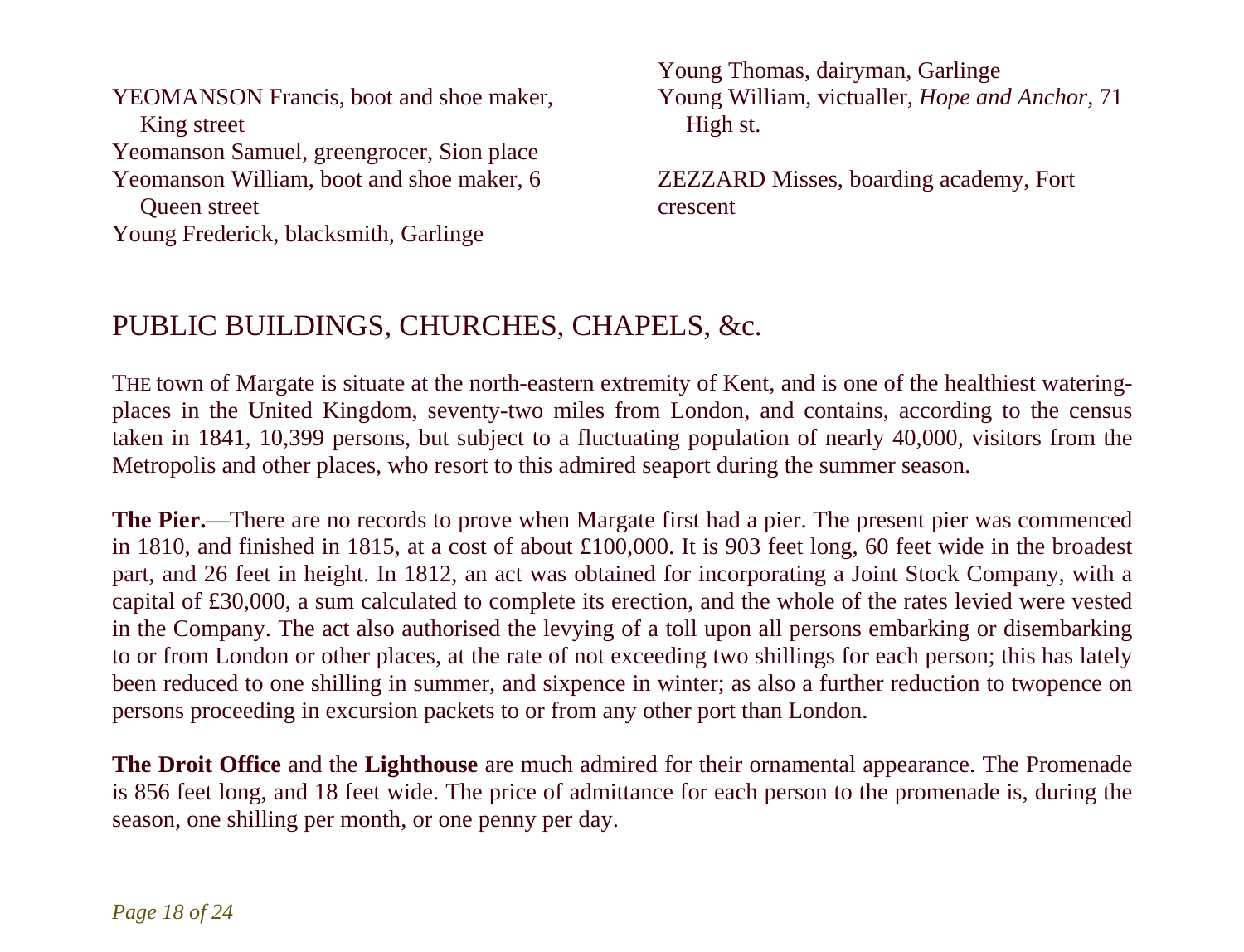YEOMANSON Francis, boot and shoe maker, King street Yeomanson Samuel, greengrocer, Sion place Yeomanson William, boot and shoe maker, 6 Queen street Young Frederick, blacksmith, Garlinge

Young Thomas, dairyman, Garlinge Young William, victualler, *Hope and Anchor,* 71 High st.

ZEZZARD Misses, boarding academy, Fort crescent

## PUBLIC BUILDINGS, CHURCHES, CHAPELS, &c.

THE town of Margate is situate at the north-eastern extremity of Kent, and is one of the healthiest wateringplaces in the United Kingdom, seventy-two miles from London, and contains, according to the census taken in 1841, 10,399 persons, but subject to a fluctuating population of nearly 40,000, visitors from the Metropolis and other places, who resort to this admired seaport during the summer season.

**The Pier.**—There are no records to prove when Margate first had a pier. The present pier was commenced in 1810, and finished in 1815, at a cost of about £100,000. It is 903 feet long, 60 feet wide in the broadest part, and 26 feet in height. In 1812, an act was obtained for incorporating a Joint Stock Company, with a capital of £30,000, a sum calculated to complete its erection, and the whole of the rates levied were vested in the Company. The act also authorised the levying of a toll upon all persons embarking or disembarking to or from London or other places, at the rate of not exceeding two shillings for each person; this has lately been reduced to one shilling in summer, and sixpence in winter; as also a further reduction to twopence on persons proceeding in excursion packets to or from any other port than London.

**The Droit Office** and the **Lighthouse** are much admired for their ornamental appearance. The Promenade is 856 feet long, and 18 feet wide. The price of admittance for each person to the promenade is, during the season, one shilling per month, or one penny per day.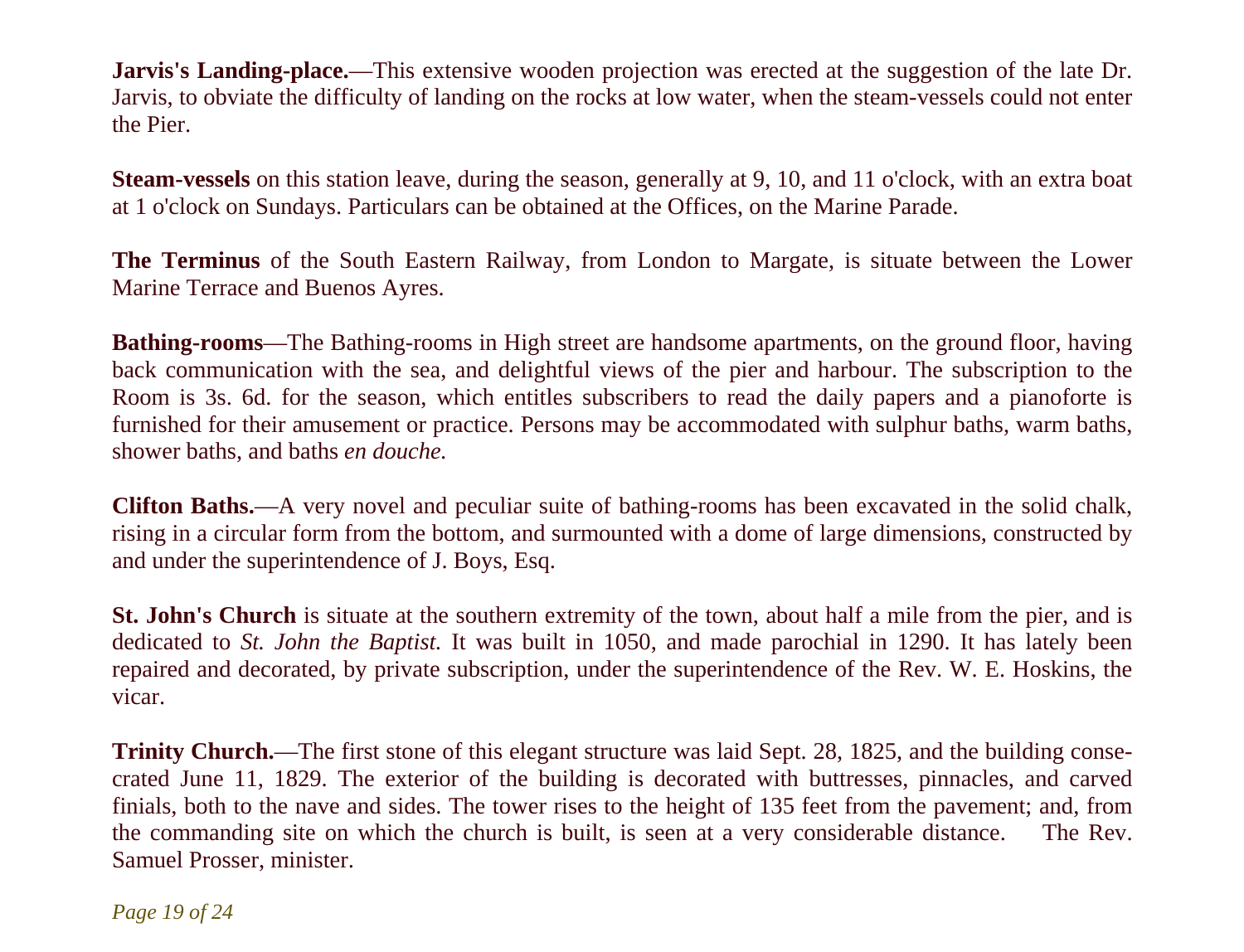**Jarvis's Landing-place.—This extensive wooden projection was erected at the suggestion of the late Dr.** Jarvis, to obviate the difficulty of landing on the rocks at low water, when the steam-vessels could not enter the Pier.

**Steam-vessels** on this station leave, during the season, generally at 9, 10, and 11 o'clock, with an extra boat at 1 o'clock on Sundays. Particulars can be obtained at the Offices, on the Marine Parade.

**The Terminus** of the South Eastern Railway, from London to Margate, is situate between the Lower Marine Terrace and Buenos Ayres.

**Bathing-rooms**—The Bathing-rooms in High street are handsome apartments, on the ground floor, having back communication with the sea, and delightful views of the pier and harbour. The subscription to the Room is 3s. 6d. for the season, which entitles subscribers to read the daily papers and a pianoforte is furnished for their amusement or practice. Persons may be accommodated with sulphur baths, warm baths, shower baths, and baths *en douche.*

**Clifton Baths.**—A very novel and peculiar suite of bathing-rooms has been excavated in the solid chalk, rising in a circular form from the bottom, and surmounted with a dome of large dimensions, constructed by and under the superintendence of J. Boys, Esq.

**St. John's Church** is situate at the southern extremity of the town, about half a mile from the pier, and is dedicated to *St. John the Baptist.* It was built in 1050, and made parochial in 1290. It has lately been repaired and decorated, by private subscription, under the superintendence of the Rev. W. E. Hoskins, the vicar.

**Trinity Church.**—The first stone of this elegant structure was laid Sept. 28, 1825, and the building consecrated June 11, 1829. The exterior of the building is decorated with buttresses, pinnacles, and carved finials, both to the nave and sides. The tower rises to the height of 135 feet from the pavement; and, from the commanding site on which the church is built, is seen at a very considerable distance. The Rev. Samuel Prosser, minister.

*Page 19 of 24*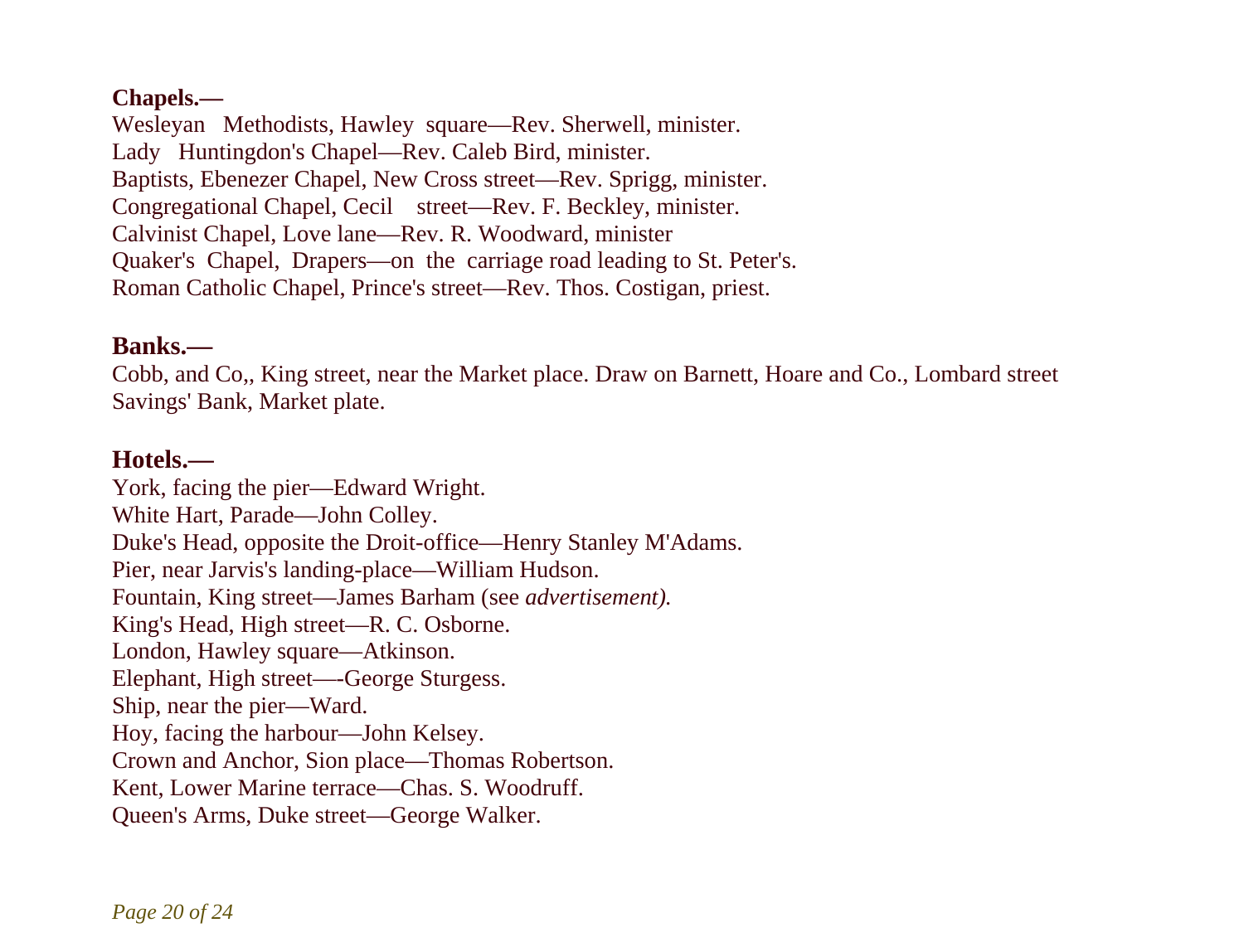### **Chapels.—**

Wesleyan Methodists, Hawley square—Rev. Sherwell, minister. Lady Huntingdon's Chapel—Rev. Caleb Bird, minister. Baptists, Ebenezer Chapel, New Cross street—Rev. Sprigg, minister. Congregational Chapel, Cecil street—Rev. F. Beckley, minister. Calvinist Chapel, Love lane—Rev. R. Woodward, minister Quaker's Chapel, Drapers—on the carriage road leading to St. Peter's. Roman Catholic Chapel, Prince's street—Rev. Thos. Costigan, priest.

## **Banks.—**

Cobb, and Co,, King street, near the Market place. Draw on Barnett, Hoare and Co., Lombard street Savings' Bank, Market plate.

## **Hotels.—**

York, facing the pier—Edward Wright. White Hart, Parade—John Colley. Duke's Head, opposite the Droit-office—Henry Stanley M'Adams. Pier, near Jarvis's landing-place—William Hudson. Fountain, King street—James Barham (see *advertisement).* King's Head, High street—R. C. Osborne. London, Hawley square—Atkinson. Elephant, High street—-George Sturgess. Ship, near the pier—Ward. Hoy, facing the harbour—John Kelsey. Crown and Anchor, Sion place—Thomas Robertson. Kent, Lower Marine terrace—Chas. S. Woodruff. Queen's Arms, Duke street—George Walker.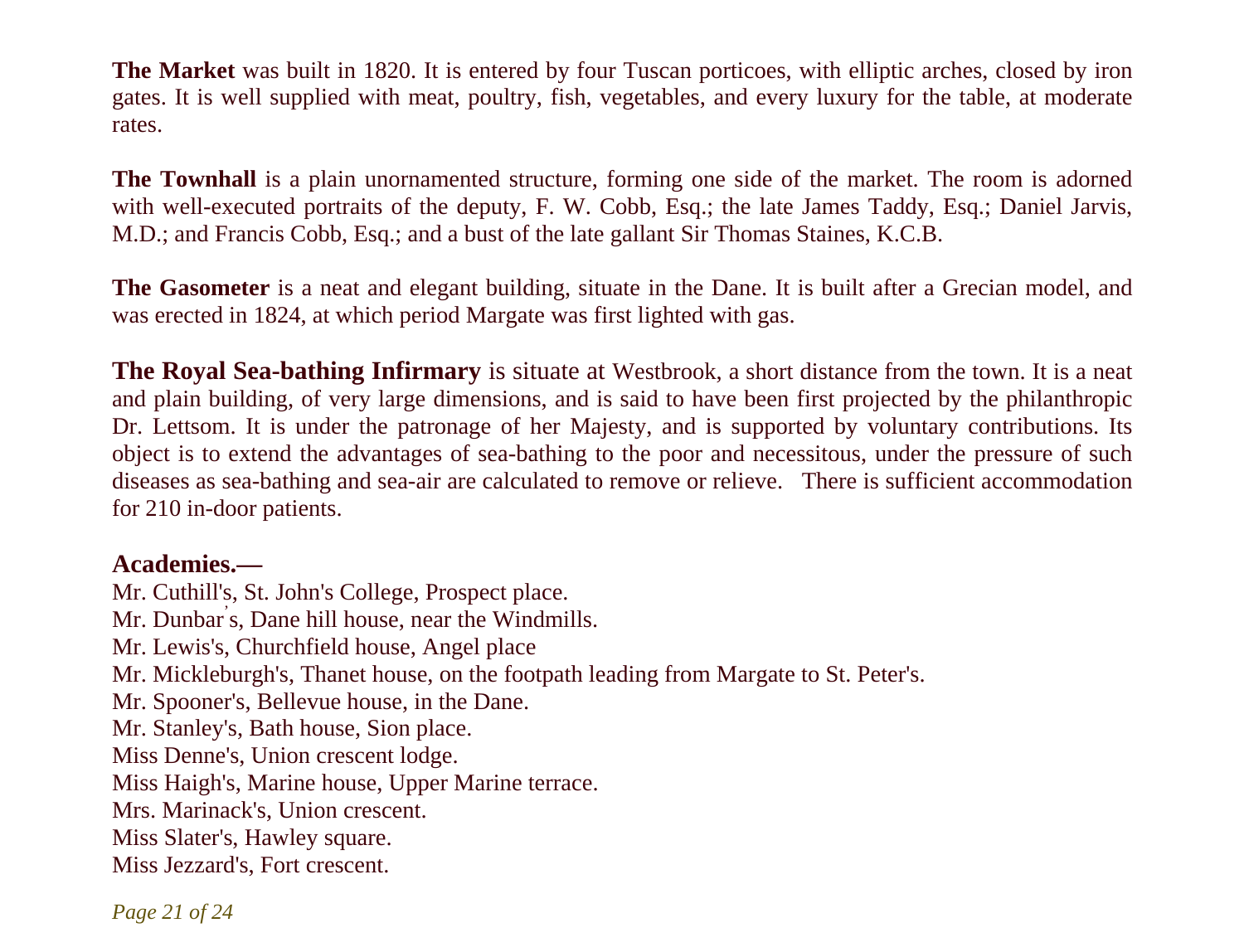**The Market** was built in 1820. It is entered by four Tuscan porticoes, with elliptic arches, closed by iron gates. It is well supplied with meat, poultry, fish, vegetables, and every luxury for the table, at moderate rates.

**The Townhall** is a plain unornamented structure, forming one side of the market. The room is adorned with well-executed portraits of the deputy, F. W. Cobb, Esq.; the late James Taddy, Esq.; Daniel Jarvis, M.D.; and Francis Cobb, Esq.; and a bust of the late gallant Sir Thomas Staines, K.C.B.

**The Gasometer** is a neat and elegant building, situate in the Dane. It is built after a Grecian model, and was erected in 1824, at which period Margate was first lighted with gas.

**The Royal Sea-bathing Infirmary** is situate at Westbrook, a short distance from the town. It is a neat and plain building, of very large dimensions, and is said to have been first projected by the philanthropic Dr. Lettsom. It is under the patronage of her Majesty, and is supported by voluntary contributions. Its object is to extend the advantages of sea-bathing to the poor and necessitous, under the pressure of such diseases as sea-bathing and sea-air are calculated to remove or relieve. There is sufficient accommodation for 210 in-door patients.

### **Academies.—**

Mr. Cuthill's, St. John's College, Prospect place. Mr. Dunbar' s, Dane hill house, near the Windmills. Mr. Lewis's, Churchfield house, Angel place Mr. Mickleburgh's, Thanet house, on the footpath leading from Margate to St. Peter's. Mr. Spooner's, Bellevue house, in the Dane. Mr. Stanley's, Bath house, Sion place. Miss Denne's, Union crescent lodge. Miss Haigh's, Marine house, Upper Marine terrace. Mrs. Marinack's, Union crescent. Miss Slater's, Hawley square. Miss Jezzard's, Fort crescent.

*Page 21 of 24*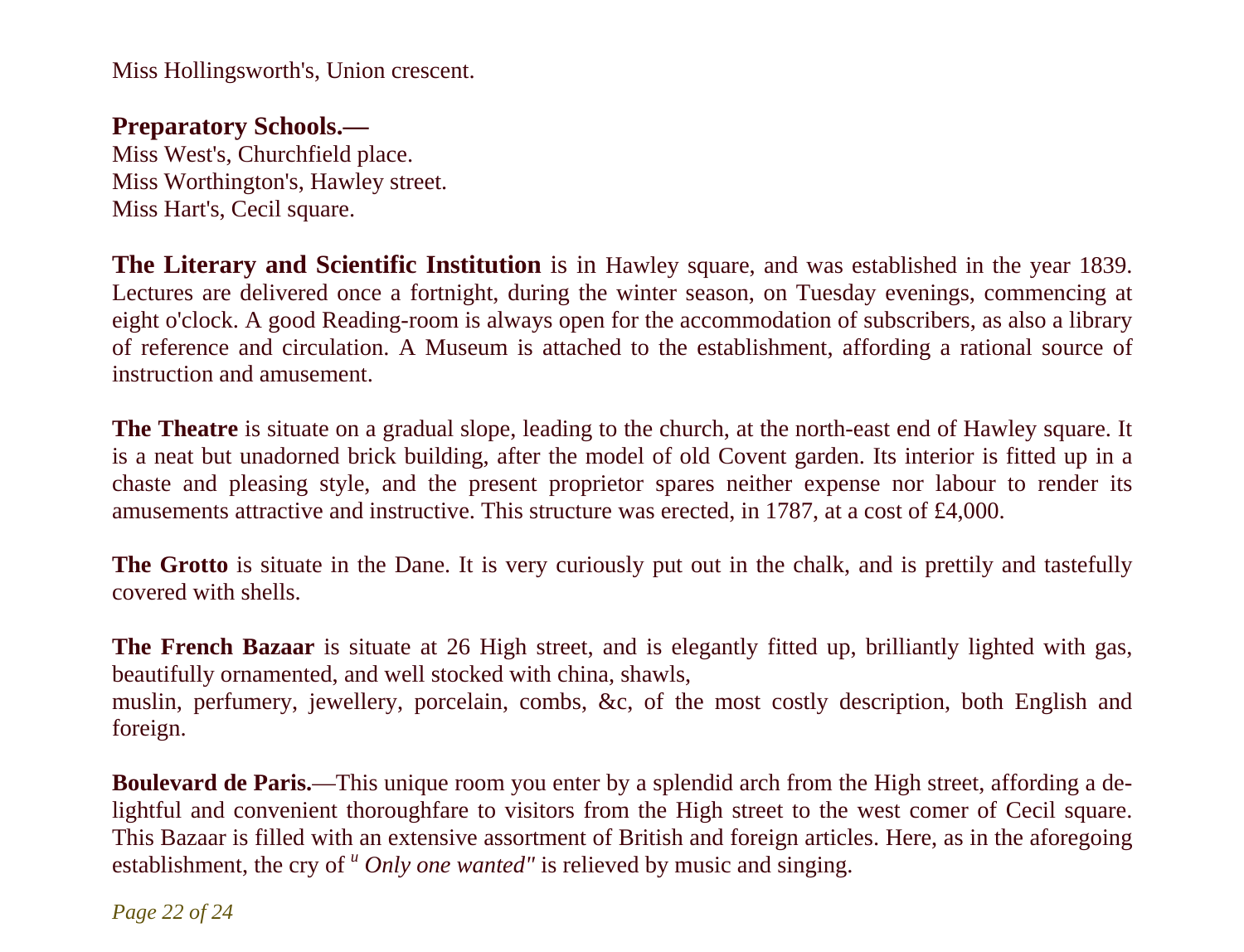Miss Hollingsworth's, Union crescent.

### **Preparatory Schools.—**

Miss West's, Churchfield place. Miss Worthington's, Hawley street. Miss Hart's, Cecil square.

**The Literary and Scientific Institution** is in Hawley square, and was established in the year 1839. Lectures are delivered once a fortnight, during the winter season, on Tuesday evenings, commencing at eight o'clock. A good Reading-room is always open for the accommodation of subscribers, as also a library of reference and circulation. A Museum is attached to the establishment, affording a rational source of instruction and amusement.

**The Theatre** is situate on a gradual slope, leading to the church, at the north-east end of Hawley square. It is a neat but unadorned brick building, after the model of old Covent garden. Its interior is fitted up in a chaste and pleasing style, and the present proprietor spares neither expense nor labour to render its amusements attractive and instructive. This structure was erected, in 1787, at a cost of  $\text{\pounds}4,000$ .

**The Grotto** is situate in the Dane. It is very curiously put out in the chalk, and is prettily and tastefully covered with shells.

**The French Bazaar** is situate at 26 High street, and is elegantly fitted up, brilliantly lighted with gas, beautifully ornamented, and well stocked with china, shawls, muslin, perfumery, jewellery, porcelain, combs, &c, of the most costly description, both English and foreign.

**Boulevard de Paris.**—This unique room you enter by a splendid arch from the High street, affording a delightful and convenient thoroughfare to visitors from the High street to the west comer of Cecil square. This Bazaar is filled with an extensive assortment of British and foreign articles. Here, as in the aforegoing establishment, the cry of <sup>u</sup> Only one wanted" is relieved by music and singing.

*Page 22 of 24*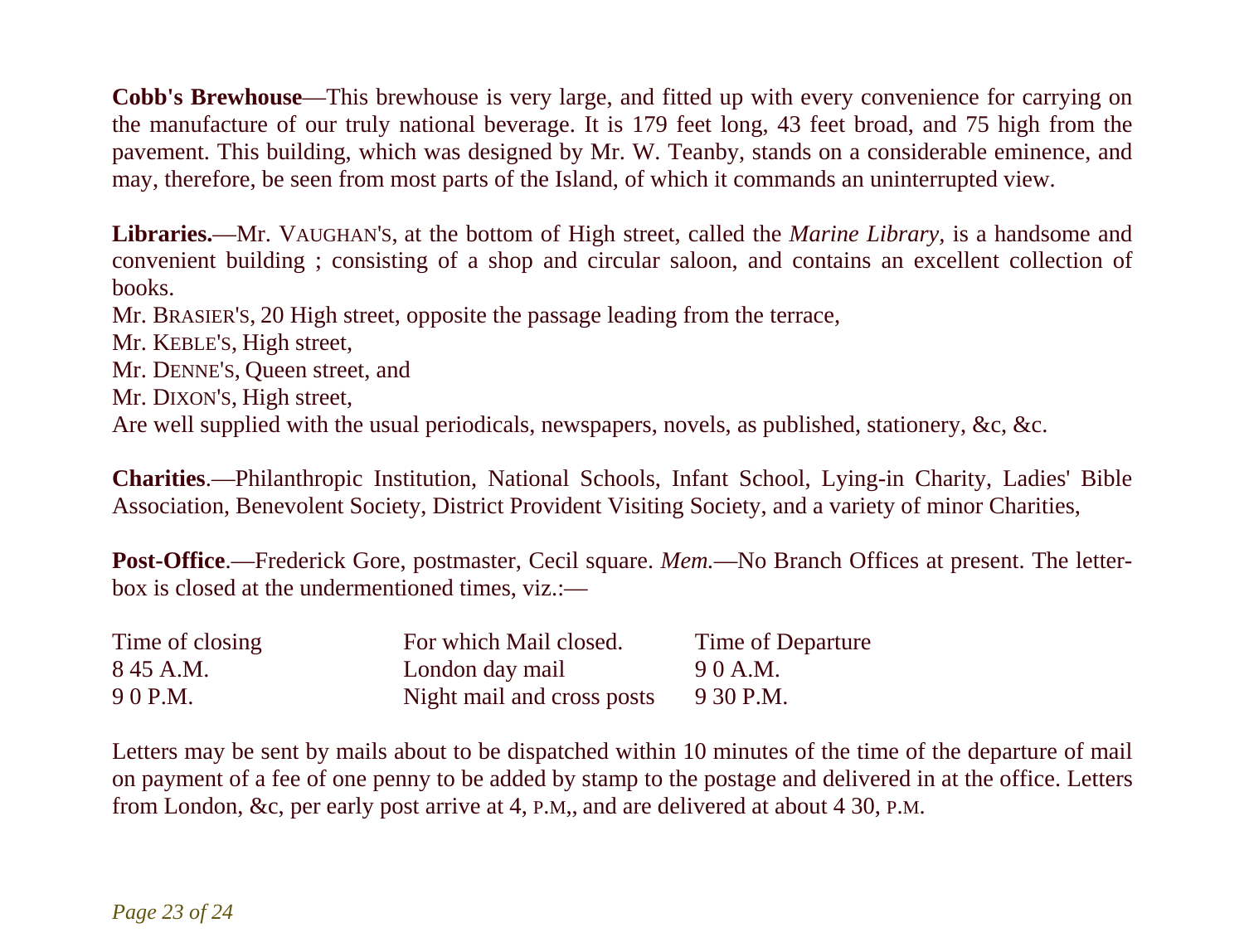**Cobb's Brewhouse**—This brewhouse is very large, and fitted up with every convenience for carrying on the manufacture of our truly national beverage. It is 179 feet long, 43 feet broad, and 75 high from the pavement. This building, which was designed by Mr. W. Teanby, stands on a considerable eminence, and may, therefore, be seen from most parts of the Island, of which it commands an uninterrupted view.

**Libraries.**—Mr. VAUGHAN'S, at the bottom of High street, called the *Marine Library,* is a handsome and convenient building ; consisting of a shop and circular saloon, and contains an excellent collection of books.

Mr. BRASIER'S, 20 High street, opposite the passage leading from the terrace,

- Mr. KEBLE'S, High street,
- Mr. DENNE'S, Queen street, and
- Mr. DIXON'S, High street,

Are well supplied with the usual periodicals, newspapers, novels, as published, stationery, &c, &c.

**Charities**.—Philanthropic Institution, National Schools, Infant School, Lying-in Charity, Ladies' Bible Association, Benevolent Society, District Provident Visiting Society, and a variety of minor Charities,

**Post-Office**.—Frederick Gore, postmaster, Cecil square. *Mem.*—No Branch Offices at present. The letterbox is closed at the undermentioned times, viz.:—

| Time of closing | For which Mail closed.     | Time of Departure |
|-----------------|----------------------------|-------------------|
| 8 45 A.M.       | London day mail            | 90 A.M.           |
| 9 0 P.M.        | Night mail and cross posts | 9 30 P.M.         |

Letters may be sent by mails about to be dispatched within 10 minutes of the time of the departure of mail on payment of a fee of one penny to be added by stamp to the postage and delivered in at the office. Letters from London, &c, per early post arrive at 4, P.M,, and are delivered at about 4 30, P.M.